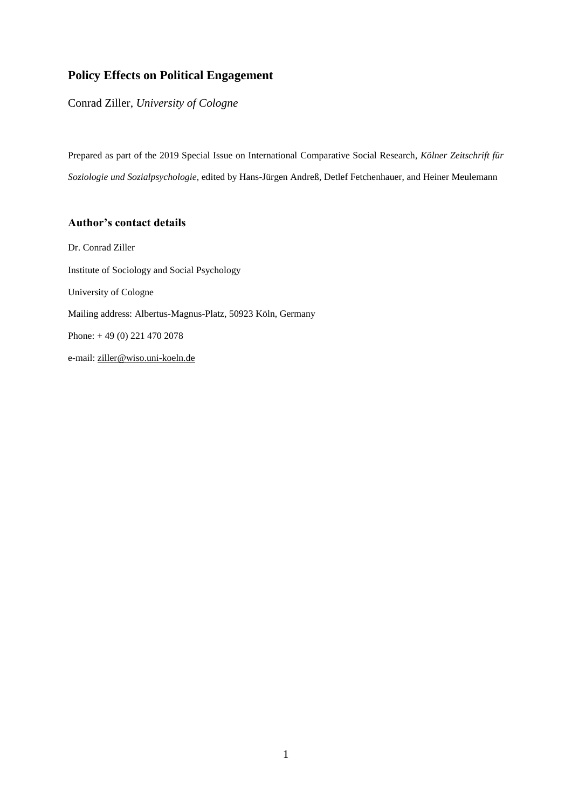## **Policy Effects on Political Engagement**

Conrad Ziller, *University of Cologne*

Prepared as part of the 2019 Special Issue on International Comparative Social Research, *Kölner Zeitschrift für Soziologie und Sozialpsychologie*, edited by Hans-Jürgen Andreß, Detlef Fetchenhauer, and Heiner Meulemann

## **Author's contact details**

Dr. Conrad Ziller Institute of Sociology and Social Psychology University of Cologne Mailing address: Albertus-Magnus-Platz, 50923 Köln, Germany Phone: + 49 (0) 221 470 2078 e-mail[: ziller@wiso.uni-koeln.de](mailto:ziller@wiso.uni-koeln.de)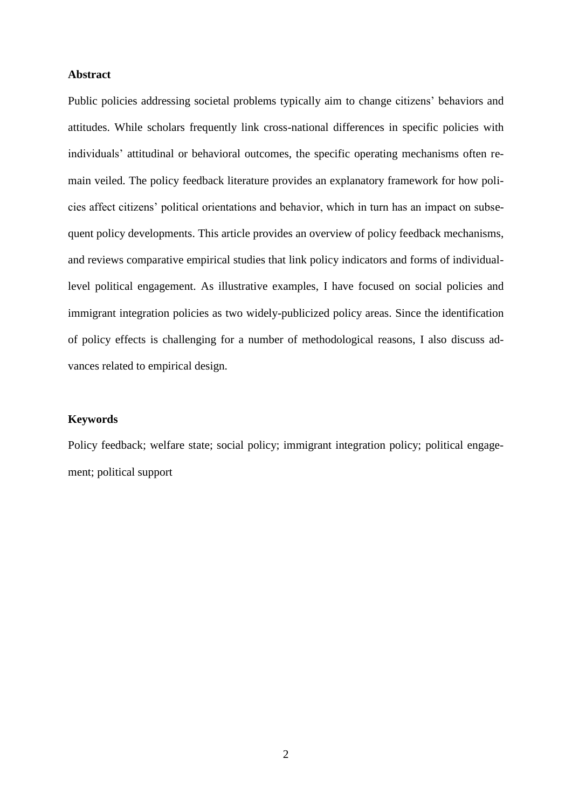#### **Abstract**

Public policies addressing societal problems typically aim to change citizens' behaviors and attitudes. While scholars frequently link cross-national differences in specific policies with individuals' attitudinal or behavioral outcomes, the specific operating mechanisms often remain veiled. The policy feedback literature provides an explanatory framework for how policies affect citizens' political orientations and behavior, which in turn has an impact on subsequent policy developments. This article provides an overview of policy feedback mechanisms, and reviews comparative empirical studies that link policy indicators and forms of individuallevel political engagement. As illustrative examples, I have focused on social policies and immigrant integration policies as two widely-publicized policy areas. Since the identification of policy effects is challenging for a number of methodological reasons, I also discuss advances related to empirical design.

## **Keywords**

Policy feedback; welfare state; social policy; immigrant integration policy; political engagement; political support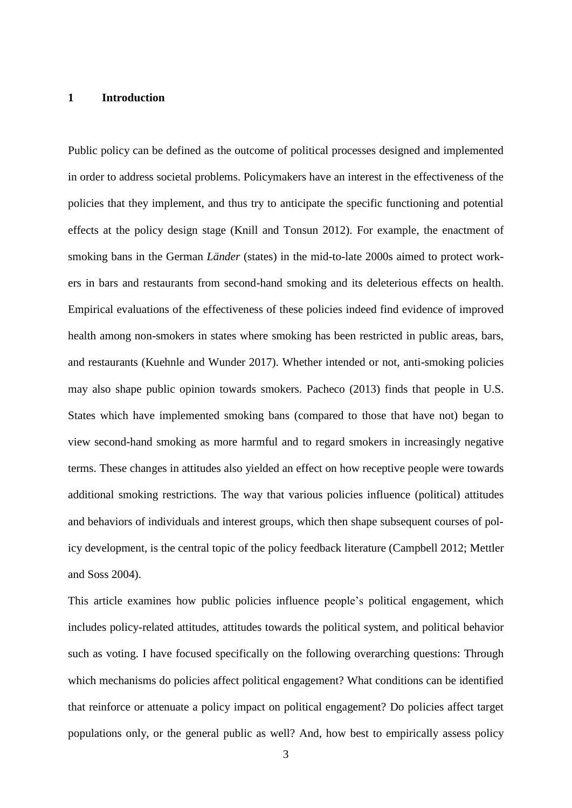#### **1 Introduction**

Public policy can be defined as the outcome of political processes designed and implemented in order to address societal problems. Policymakers have an interest in the effectiveness of the policies that they implement, and thus try to anticipate the specific functioning and potential effects at the policy design stage (Knill and Tonsun 2012). For example, the enactment of smoking bans in the German *Länder* (states) in the mid-to-late 2000s aimed to protect workers in bars and restaurants from second-hand smoking and its deleterious effects on health. Empirical evaluations of the effectiveness of these policies indeed find evidence of improved health among non-smokers in states where smoking has been restricted in public areas, bars, and restaurants (Kuehnle and Wunder 2017). Whether intended or not, anti-smoking policies may also shape public opinion towards smokers. Pacheco (2013) finds that people in U.S. States which have implemented smoking bans (compared to those that have not) began to view second-hand smoking as more harmful and to regard smokers in increasingly negative terms. These changes in attitudes also yielded an effect on how receptive people were towards additional smoking restrictions. The way that various policies influence (political) attitudes and behaviors of individuals and interest groups, which then shape subsequent courses of policy development, is the central topic of the policy feedback literature (Campbell 2012; Mettler and Soss 2004).

This article examines how public policies influence people's political engagement, which includes policy-related attitudes, attitudes towards the political system, and political behavior such as voting. I have focused specifically on the following overarching questions: Through which mechanisms do policies affect political engagement? What conditions can be identified that reinforce or attenuate a policy impact on political engagement? Do policies affect target populations only, or the general public as well? And, how best to empirically assess policy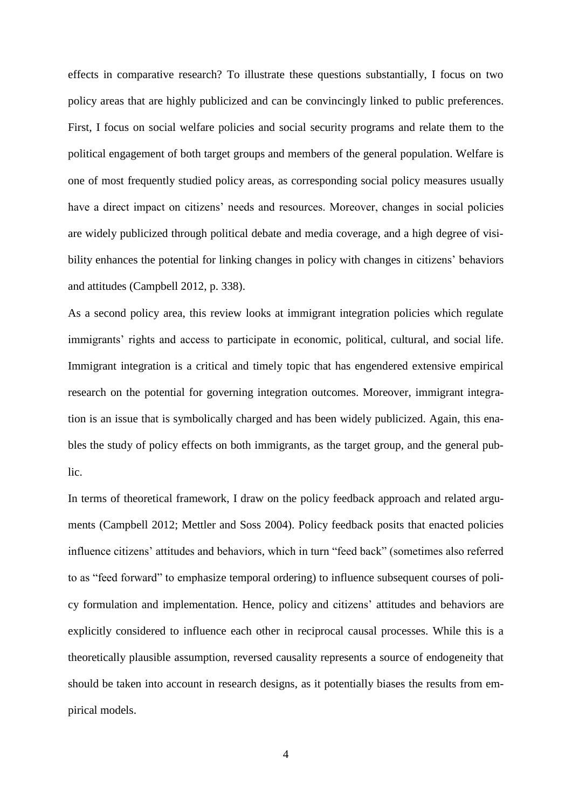effects in comparative research? To illustrate these questions substantially, I focus on two policy areas that are highly publicized and can be convincingly linked to public preferences. First, I focus on social welfare policies and social security programs and relate them to the political engagement of both target groups and members of the general population. Welfare is one of most frequently studied policy areas, as corresponding social policy measures usually have a direct impact on citizens' needs and resources. Moreover, changes in social policies are widely publicized through political debate and media coverage, and a high degree of visibility enhances the potential for linking changes in policy with changes in citizens' behaviors and attitudes (Campbell 2012, p. 338).

As a second policy area, this review looks at immigrant integration policies which regulate immigrants' rights and access to participate in economic, political, cultural, and social life. Immigrant integration is a critical and timely topic that has engendered extensive empirical research on the potential for governing integration outcomes. Moreover, immigrant integration is an issue that is symbolically charged and has been widely publicized. Again, this enables the study of policy effects on both immigrants, as the target group, and the general public.

In terms of theoretical framework, I draw on the policy feedback approach and related arguments (Campbell 2012; Mettler and Soss 2004). Policy feedback posits that enacted policies influence citizens' attitudes and behaviors, which in turn "feed back" (sometimes also referred to as "feed forward" to emphasize temporal ordering) to influence subsequent courses of policy formulation and implementation. Hence, policy and citizens' attitudes and behaviors are explicitly considered to influence each other in reciprocal causal processes. While this is a theoretically plausible assumption, reversed causality represents a source of endogeneity that should be taken into account in research designs, as it potentially biases the results from empirical models.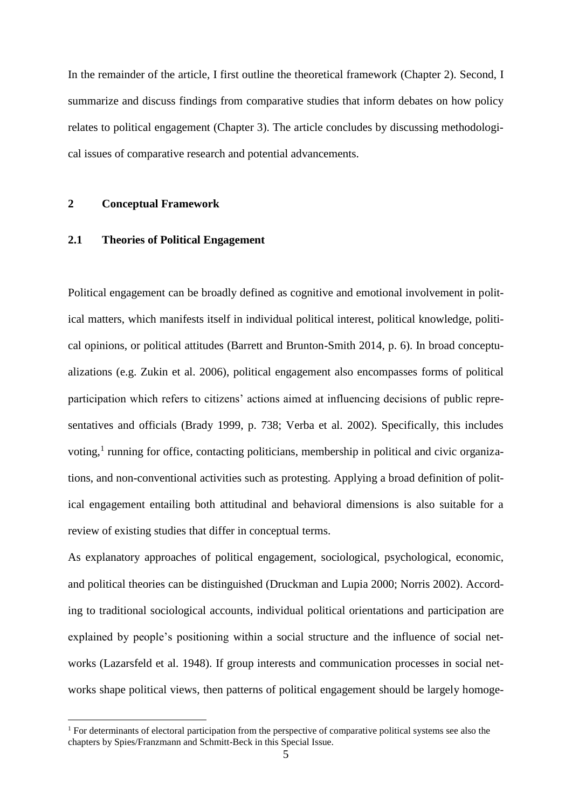In the remainder of the article, I first outline the theoretical framework (Chapter 2). Second, I summarize and discuss findings from comparative studies that inform debates on how policy relates to political engagement (Chapter 3). The article concludes by discussing methodological issues of comparative research and potential advancements.

#### **2 Conceptual Framework**

1

#### **2.1 Theories of Political Engagement**

Political engagement can be broadly defined as cognitive and emotional involvement in political matters, which manifests itself in individual political interest, political knowledge, political opinions, or political attitudes (Barrett and Brunton-Smith 2014, p. 6). In broad conceptualizations (e.g. Zukin et al. 2006), political engagement also encompasses forms of political participation which refers to citizens' actions aimed at influencing decisions of public representatives and officials (Brady 1999, p. 738; Verba et al. 2002). Specifically, this includes voting,<sup>1</sup> running for office, contacting politicians, membership in political and civic organizations, and non-conventional activities such as protesting. Applying a broad definition of political engagement entailing both attitudinal and behavioral dimensions is also suitable for a review of existing studies that differ in conceptual terms.

As explanatory approaches of political engagement, sociological, psychological, economic, and political theories can be distinguished (Druckman and Lupia 2000; Norris 2002). According to traditional sociological accounts, individual political orientations and participation are explained by people's positioning within a social structure and the influence of social networks (Lazarsfeld et al. 1948). If group interests and communication processes in social networks shape political views, then patterns of political engagement should be largely homoge-

<sup>&</sup>lt;sup>1</sup> For determinants of electoral participation from the perspective of comparative political systems see also the chapters by Spies/Franzmann and Schmitt-Beck in this Special Issue.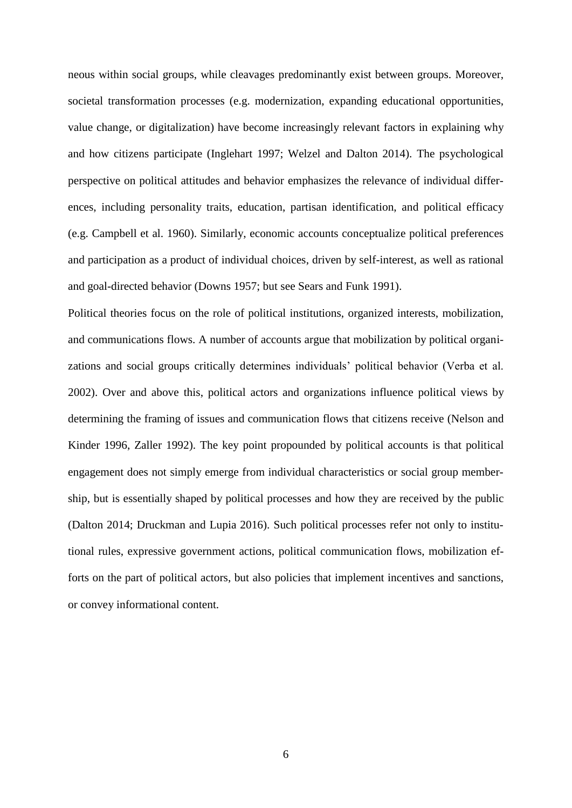neous within social groups, while cleavages predominantly exist between groups. Moreover, societal transformation processes (e.g. modernization, expanding educational opportunities, value change, or digitalization) have become increasingly relevant factors in explaining why and how citizens participate (Inglehart 1997; Welzel and Dalton 2014). The psychological perspective on political attitudes and behavior emphasizes the relevance of individual differences, including personality traits, education, partisan identification, and political efficacy (e.g. Campbell et al. 1960). Similarly, economic accounts conceptualize political preferences and participation as a product of individual choices, driven by self-interest, as well as rational and goal-directed behavior (Downs 1957; but see Sears and Funk 1991).

Political theories focus on the role of political institutions, organized interests, mobilization, and communications flows. A number of accounts argue that mobilization by political organizations and social groups critically determines individuals' political behavior (Verba et al. 2002). Over and above this, political actors and organizations influence political views by determining the framing of issues and communication flows that citizens receive (Nelson and Kinder 1996, Zaller 1992). The key point propounded by political accounts is that political engagement does not simply emerge from individual characteristics or social group membership, but is essentially shaped by political processes and how they are received by the public (Dalton 2014; Druckman and Lupia 2016). Such political processes refer not only to institutional rules, expressive government actions, political communication flows, mobilization efforts on the part of political actors, but also policies that implement incentives and sanctions, or convey informational content.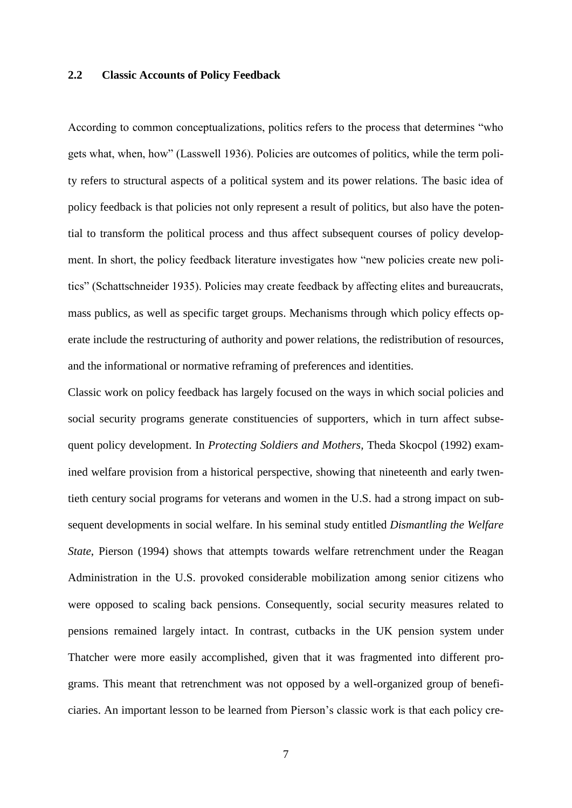## **2.2 Classic Accounts of Policy Feedback**

According to common conceptualizations, politics refers to the process that determines "who gets what, when, how" (Lasswell 1936). Policies are outcomes of politics, while the term polity refers to structural aspects of a political system and its power relations. The basic idea of policy feedback is that policies not only represent a result of politics, but also have the potential to transform the political process and thus affect subsequent courses of policy development. In short, the policy feedback literature investigates how "new policies create new politics" (Schattschneider 1935). Policies may create feedback by affecting elites and bureaucrats, mass publics, as well as specific target groups. Mechanisms through which policy effects operate include the restructuring of authority and power relations, the redistribution of resources, and the informational or normative reframing of preferences and identities.

Classic work on policy feedback has largely focused on the ways in which social policies and social security programs generate constituencies of supporters, which in turn affect subsequent policy development. In *Protecting Soldiers and Mothers,* Theda Skocpol (1992) examined welfare provision from a historical perspective, showing that nineteenth and early twentieth century social programs for veterans and women in the U.S. had a strong impact on subsequent developments in social welfare. In his seminal study entitled *Dismantling the Welfare State*, Pierson (1994) shows that attempts towards welfare retrenchment under the Reagan Administration in the U.S. provoked considerable mobilization among senior citizens who were opposed to scaling back pensions. Consequently, social security measures related to pensions remained largely intact. In contrast, cutbacks in the UK pension system under Thatcher were more easily accomplished, given that it was fragmented into different programs. This meant that retrenchment was not opposed by a well-organized group of beneficiaries. An important lesson to be learned from Pierson's classic work is that each policy cre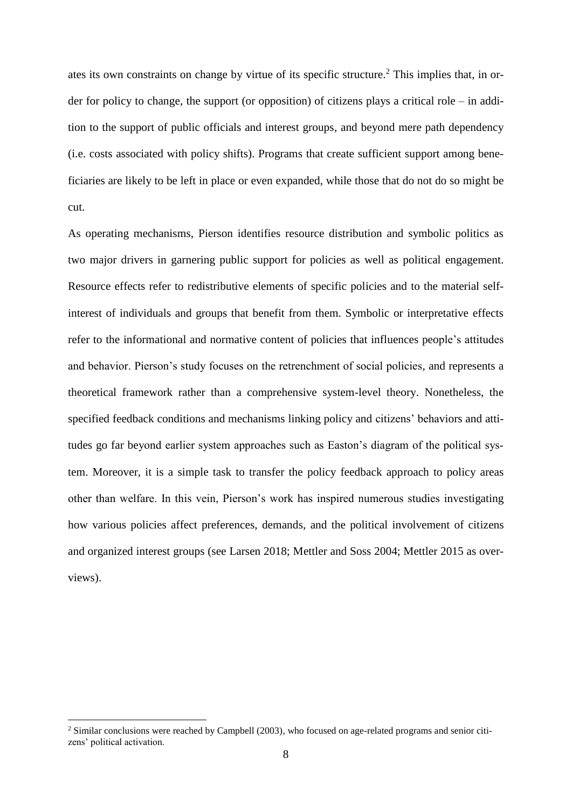ates its own constraints on change by virtue of its specific structure.<sup>2</sup> This implies that, in order for policy to change, the support (or opposition) of citizens plays a critical role – in addition to the support of public officials and interest groups, and beyond mere path dependency (i.e. costs associated with policy shifts). Programs that create sufficient support among beneficiaries are likely to be left in place or even expanded, while those that do not do so might be cut.

As operating mechanisms, Pierson identifies resource distribution and symbolic politics as two major drivers in garnering public support for policies as well as political engagement. Resource effects refer to redistributive elements of specific policies and to the material selfinterest of individuals and groups that benefit from them. Symbolic or interpretative effects refer to the informational and normative content of policies that influences people's attitudes and behavior. Pierson's study focuses on the retrenchment of social policies, and represents a theoretical framework rather than a comprehensive system-level theory. Nonetheless, the specified feedback conditions and mechanisms linking policy and citizens' behaviors and attitudes go far beyond earlier system approaches such as Easton's diagram of the political system. Moreover, it is a simple task to transfer the policy feedback approach to policy areas other than welfare. In this vein, Pierson's work has inspired numerous studies investigating how various policies affect preferences, demands, and the political involvement of citizens and organized interest groups (see Larsen 2018; Mettler and Soss 2004; Mettler 2015 as overviews).

1

<sup>2</sup> Similar conclusions were reached by Campbell (2003), who focused on age-related programs and senior citizens' political activation.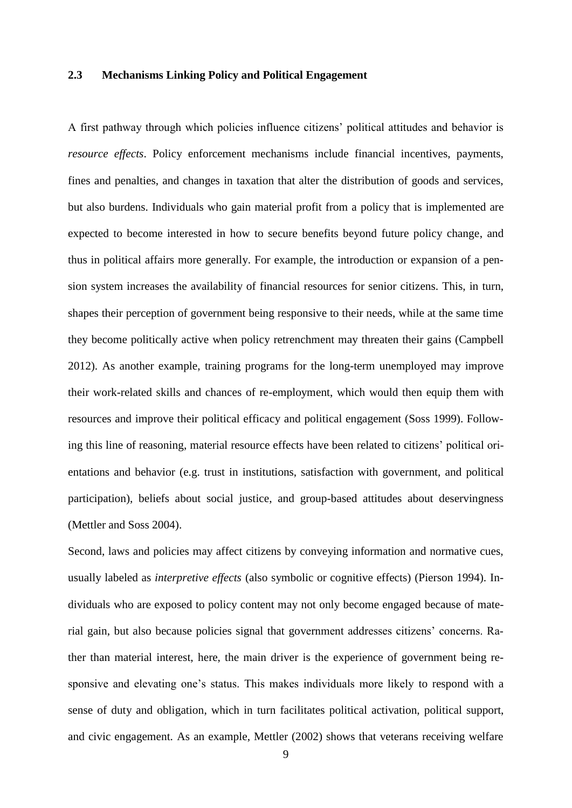## **2.3 Mechanisms Linking Policy and Political Engagement**

A first pathway through which policies influence citizens' political attitudes and behavior is *resource effects*. Policy enforcement mechanisms include financial incentives, payments, fines and penalties, and changes in taxation that alter the distribution of goods and services, but also burdens. Individuals who gain material profit from a policy that is implemented are expected to become interested in how to secure benefits beyond future policy change, and thus in political affairs more generally. For example, the introduction or expansion of a pension system increases the availability of financial resources for senior citizens. This, in turn, shapes their perception of government being responsive to their needs, while at the same time they become politically active when policy retrenchment may threaten their gains (Campbell 2012). As another example, training programs for the long-term unemployed may improve their work-related skills and chances of re-employment, which would then equip them with resources and improve their political efficacy and political engagement (Soss 1999). Following this line of reasoning, material resource effects have been related to citizens' political orientations and behavior (e.g. trust in institutions, satisfaction with government, and political participation), beliefs about social justice, and group-based attitudes about deservingness (Mettler and Soss 2004).

Second, laws and policies may affect citizens by conveying information and normative cues, usually labeled as *interpretive effects* (also symbolic or cognitive effects) (Pierson 1994). Individuals who are exposed to policy content may not only become engaged because of material gain, but also because policies signal that government addresses citizens' concerns. Rather than material interest, here, the main driver is the experience of government being responsive and elevating one's status. This makes individuals more likely to respond with a sense of duty and obligation, which in turn facilitates political activation, political support, and civic engagement. As an example, Mettler (2002) shows that veterans receiving welfare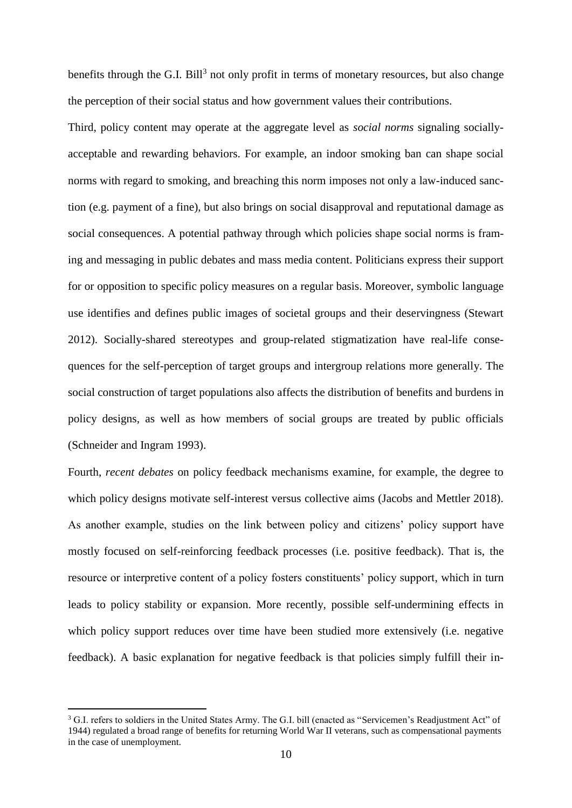benefits through the G.I. Bill<sup>3</sup> not only profit in terms of monetary resources, but also change the perception of their social status and how government values their contributions.

Third, policy content may operate at the aggregate level as *social norms* signaling sociallyacceptable and rewarding behaviors. For example, an indoor smoking ban can shape social norms with regard to smoking, and breaching this norm imposes not only a law-induced sanction (e.g. payment of a fine), but also brings on social disapproval and reputational damage as social consequences. A potential pathway through which policies shape social norms is framing and messaging in public debates and mass media content. Politicians express their support for or opposition to specific policy measures on a regular basis. Moreover, symbolic language use identifies and defines public images of societal groups and their deservingness (Stewart 2012). Socially-shared stereotypes and group-related stigmatization have real-life consequences for the self-perception of target groups and intergroup relations more generally. The social construction of target populations also affects the distribution of benefits and burdens in policy designs, as well as how members of social groups are treated by public officials (Schneider and Ingram 1993).

Fourth, *recent debates* on policy feedback mechanisms examine, for example, the degree to which policy designs motivate self-interest versus collective aims (Jacobs and Mettler 2018). As another example, studies on the link between policy and citizens' policy support have mostly focused on self-reinforcing feedback processes (i.e. positive feedback). That is, the resource or interpretive content of a policy fosters constituents' policy support, which in turn leads to policy stability or expansion. More recently, possible self-undermining effects in which policy support reduces over time have been studied more extensively (i.e. negative feedback). A basic explanation for negative feedback is that policies simply fulfill their in-

<u>.</u>

<sup>&</sup>lt;sup>3</sup> G.I. refers to soldiers in the United States Army. The G.I. bill (enacted as "Servicemen's Readjustment Act" of 1944) regulated a broad range of benefits for returning World War II veterans, such as compensational payments in the case of unemployment.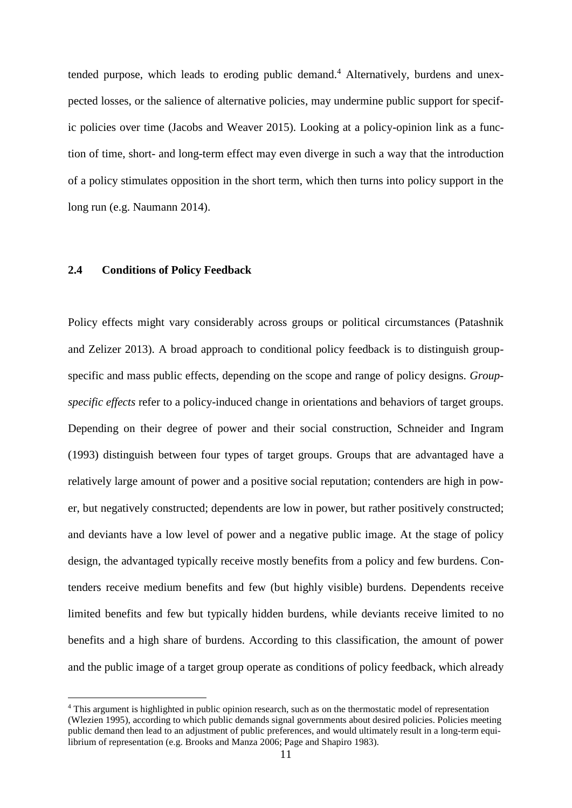tended purpose, which leads to eroding public demand.<sup>4</sup> Alternatively, burdens and unexpected losses, or the salience of alternative policies, may undermine public support for specific policies over time (Jacobs and Weaver 2015). Looking at a policy-opinion link as a function of time, short- and long-term effect may even diverge in such a way that the introduction of a policy stimulates opposition in the short term, which then turns into policy support in the long run (e.g. Naumann 2014).

## **2.4 Conditions of Policy Feedback**

1

Policy effects might vary considerably across groups or political circumstances (Patashnik and Zelizer 2013). A broad approach to conditional policy feedback is to distinguish groupspecific and mass public effects, depending on the scope and range of policy designs. *Groupspecific effects* refer to a policy-induced change in orientations and behaviors of target groups. Depending on their degree of power and their social construction, Schneider and Ingram (1993) distinguish between four types of target groups. Groups that are advantaged have a relatively large amount of power and a positive social reputation; contenders are high in power, but negatively constructed; dependents are low in power, but rather positively constructed; and deviants have a low level of power and a negative public image. At the stage of policy design, the advantaged typically receive mostly benefits from a policy and few burdens. Contenders receive medium benefits and few (but highly visible) burdens. Dependents receive limited benefits and few but typically hidden burdens, while deviants receive limited to no benefits and a high share of burdens. According to this classification, the amount of power and the public image of a target group operate as conditions of policy feedback, which already

<sup>&</sup>lt;sup>4</sup> This argument is highlighted in public opinion research, such as on the thermostatic model of representation (Wlezien 1995), according to which public demands signal governments about desired policies. Policies meeting public demand then lead to an adjustment of public preferences, and would ultimately result in a long-term equilibrium of representation (e.g. Brooks and Manza 2006; Page and Shapiro 1983).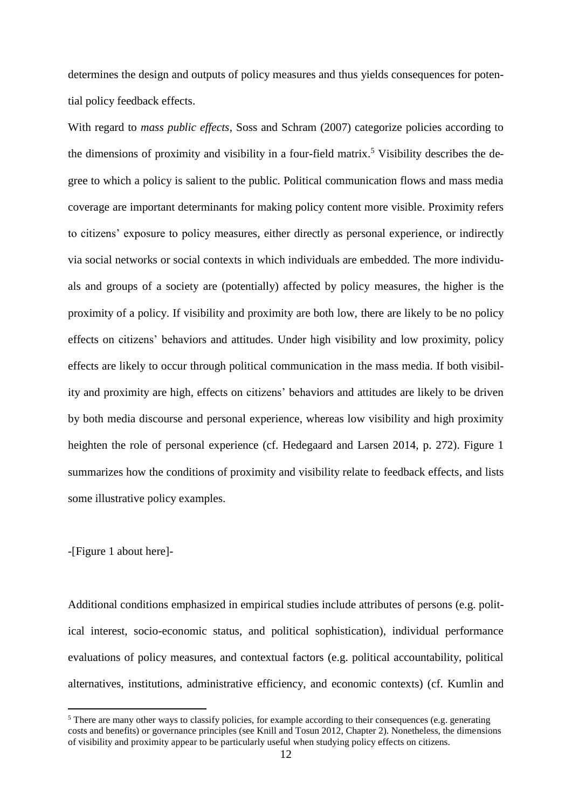determines the design and outputs of policy measures and thus yields consequences for potential policy feedback effects.

With regard to *mass public effects*, Soss and Schram (2007) categorize policies according to the dimensions of proximity and visibility in a four-field matrix.<sup>5</sup> Visibility describes the degree to which a policy is salient to the public. Political communication flows and mass media coverage are important determinants for making policy content more visible. Proximity refers to citizens' exposure to policy measures, either directly as personal experience, or indirectly via social networks or social contexts in which individuals are embedded. The more individuals and groups of a society are (potentially) affected by policy measures, the higher is the proximity of a policy. If visibility and proximity are both low, there are likely to be no policy effects on citizens' behaviors and attitudes. Under high visibility and low proximity, policy effects are likely to occur through political communication in the mass media. If both visibility and proximity are high, effects on citizens' behaviors and attitudes are likely to be driven by both media discourse and personal experience, whereas low visibility and high proximity heighten the role of personal experience (cf. Hedegaard and Larsen 2014, p. 272). Figure 1 summarizes how the conditions of proximity and visibility relate to feedback effects, and lists some illustrative policy examples.

-[Figure 1 about here]-

<u>.</u>

Additional conditions emphasized in empirical studies include attributes of persons (e.g. political interest, socio-economic status, and political sophistication), individual performance evaluations of policy measures, and contextual factors (e.g. political accountability, political alternatives, institutions, administrative efficiency, and economic contexts) (cf. Kumlin and

<sup>&</sup>lt;sup>5</sup> There are many other ways to classify policies, for example according to their consequences (e.g. generating costs and benefits) or governance principles (see Knill and Tosun 2012, Chapter 2). Nonetheless, the dimensions of visibility and proximity appear to be particularly useful when studying policy effects on citizens.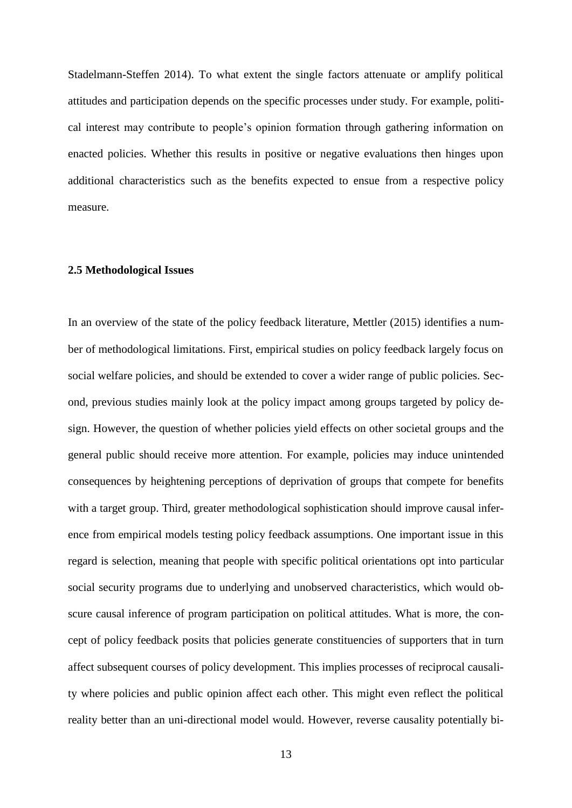Stadelmann-Steffen 2014). To what extent the single factors attenuate or amplify political attitudes and participation depends on the specific processes under study. For example, political interest may contribute to people's opinion formation through gathering information on enacted policies. Whether this results in positive or negative evaluations then hinges upon additional characteristics such as the benefits expected to ensue from a respective policy measure.

## **2.5 Methodological Issues**

In an overview of the state of the policy feedback literature, Mettler (2015) identifies a number of methodological limitations. First, empirical studies on policy feedback largely focus on social welfare policies, and should be extended to cover a wider range of public policies. Second, previous studies mainly look at the policy impact among groups targeted by policy design. However, the question of whether policies yield effects on other societal groups and the general public should receive more attention. For example, policies may induce unintended consequences by heightening perceptions of deprivation of groups that compete for benefits with a target group. Third, greater methodological sophistication should improve causal inference from empirical models testing policy feedback assumptions. One important issue in this regard is selection, meaning that people with specific political orientations opt into particular social security programs due to underlying and unobserved characteristics, which would obscure causal inference of program participation on political attitudes. What is more, the concept of policy feedback posits that policies generate constituencies of supporters that in turn affect subsequent courses of policy development. This implies processes of reciprocal causality where policies and public opinion affect each other. This might even reflect the political reality better than an uni-directional model would. However, reverse causality potentially bi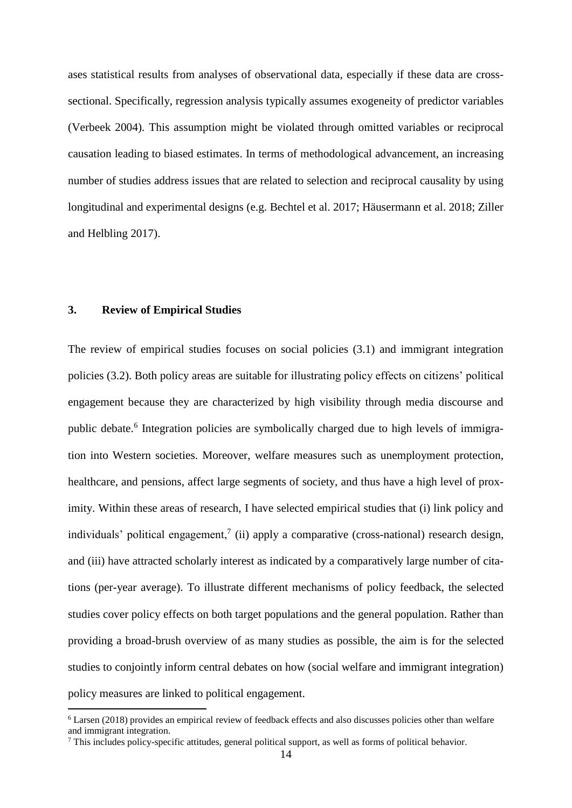ases statistical results from analyses of observational data, especially if these data are crosssectional. Specifically, regression analysis typically assumes exogeneity of predictor variables (Verbeek 2004). This assumption might be violated through omitted variables or reciprocal causation leading to biased estimates. In terms of methodological advancement, an increasing number of studies address issues that are related to selection and reciprocal causality by using longitudinal and experimental designs (e.g. Bechtel et al. 2017; Häusermann et al. 2018; Ziller and Helbling 2017).

## **3. Review of Empirical Studies**

<u>.</u>

The review of empirical studies focuses on social policies (3.1) and immigrant integration policies (3.2). Both policy areas are suitable for illustrating policy effects on citizens' political engagement because they are characterized by high visibility through media discourse and public debate.<sup>6</sup> Integration policies are symbolically charged due to high levels of immigration into Western societies. Moreover, welfare measures such as unemployment protection, healthcare, and pensions, affect large segments of society, and thus have a high level of proximity. Within these areas of research, I have selected empirical studies that (i) link policy and individuals' political engagement,<sup>7</sup> (ii) apply a comparative (cross-national) research design, and (iii) have attracted scholarly interest as indicated by a comparatively large number of citations (per-year average). To illustrate different mechanisms of policy feedback, the selected studies cover policy effects on both target populations and the general population. Rather than providing a broad-brush overview of as many studies as possible, the aim is for the selected studies to conjointly inform central debates on how (social welfare and immigrant integration) policy measures are linked to political engagement.

<sup>6</sup> Larsen (2018) provides an empirical review of feedback effects and also discusses policies other than welfare and immigrant integration.

<sup>7</sup> This includes policy-specific attitudes, general political support, as well as forms of political behavior.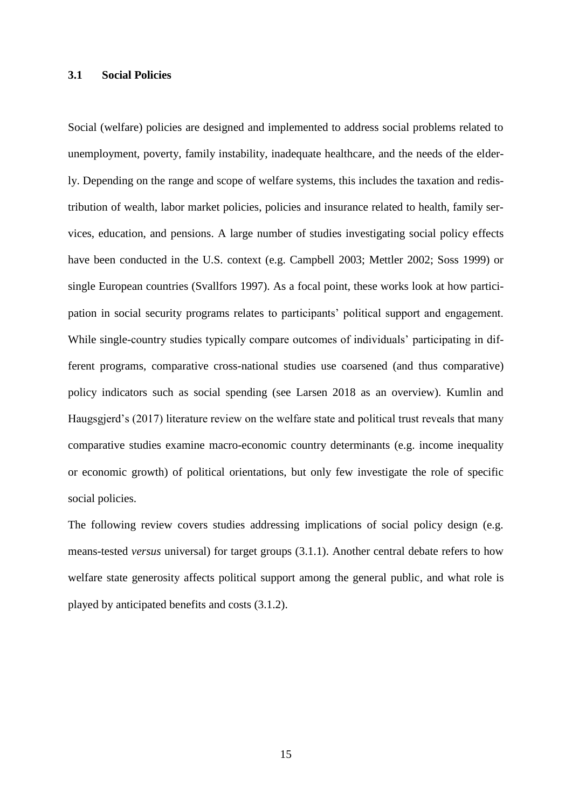## **3.1 Social Policies**

Social (welfare) policies are designed and implemented to address social problems related to unemployment, poverty, family instability, inadequate healthcare, and the needs of the elderly. Depending on the range and scope of welfare systems, this includes the taxation and redistribution of wealth, labor market policies, policies and insurance related to health, family services, education, and pensions. A large number of studies investigating social policy effects have been conducted in the U.S. context (e.g. Campbell 2003; Mettler 2002; Soss 1999) or single European countries (Svallfors 1997). As a focal point, these works look at how participation in social security programs relates to participants' political support and engagement. While single-country studies typically compare outcomes of individuals' participating in different programs, comparative cross-national studies use coarsened (and thus comparative) policy indicators such as social spending (see Larsen 2018 as an overview). Kumlin and Haugsgjerd's (2017) literature review on the welfare state and political trust reveals that many comparative studies examine macro-economic country determinants (e.g. income inequality or economic growth) of political orientations, but only few investigate the role of specific social policies.

The following review covers studies addressing implications of social policy design (e.g. means-tested *versus* universal) for target groups (3.1.1). Another central debate refers to how welfare state generosity affects political support among the general public, and what role is played by anticipated benefits and costs (3.1.2).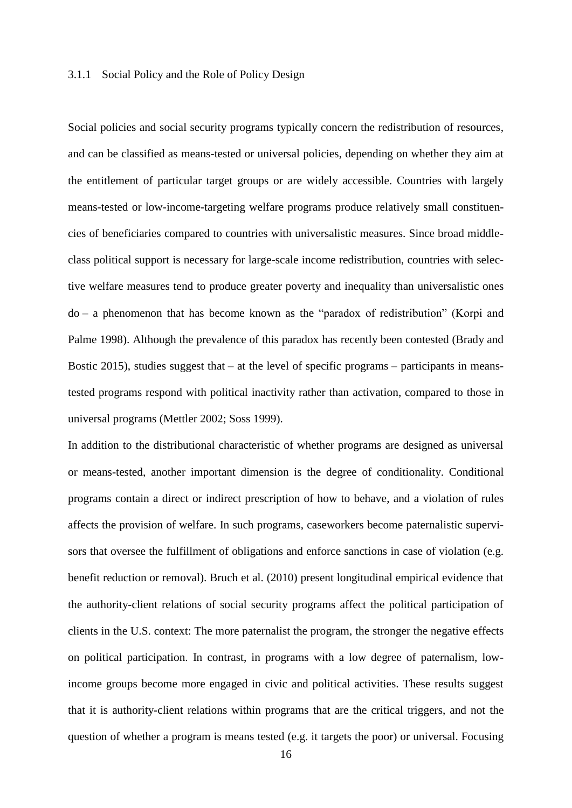## 3.1.1 Social Policy and the Role of Policy Design

Social policies and social security programs typically concern the redistribution of resources, and can be classified as means-tested or universal policies, depending on whether they aim at the entitlement of particular target groups or are widely accessible. Countries with largely means-tested or low-income-targeting welfare programs produce relatively small constituencies of beneficiaries compared to countries with universalistic measures. Since broad middleclass political support is necessary for large-scale income redistribution, countries with selective welfare measures tend to produce greater poverty and inequality than universalistic ones do – a phenomenon that has become known as the "paradox of redistribution" (Korpi and Palme 1998). Although the prevalence of this paradox has recently been contested (Brady and Bostic 2015), studies suggest that  $-$  at the level of specific programs  $-$  participants in meanstested programs respond with political inactivity rather than activation, compared to those in universal programs (Mettler 2002; Soss 1999).

In addition to the distributional characteristic of whether programs are designed as universal or means-tested, another important dimension is the degree of conditionality. Conditional programs contain a direct or indirect prescription of how to behave, and a violation of rules affects the provision of welfare. In such programs, caseworkers become paternalistic supervisors that oversee the fulfillment of obligations and enforce sanctions in case of violation (e.g. benefit reduction or removal). Bruch et al. (2010) present longitudinal empirical evidence that the authority-client relations of social security programs affect the political participation of clients in the U.S. context: The more paternalist the program, the stronger the negative effects on political participation. In contrast, in programs with a low degree of paternalism, lowincome groups become more engaged in civic and political activities. These results suggest that it is authority-client relations within programs that are the critical triggers, and not the question of whether a program is means tested (e.g. it targets the poor) or universal. Focusing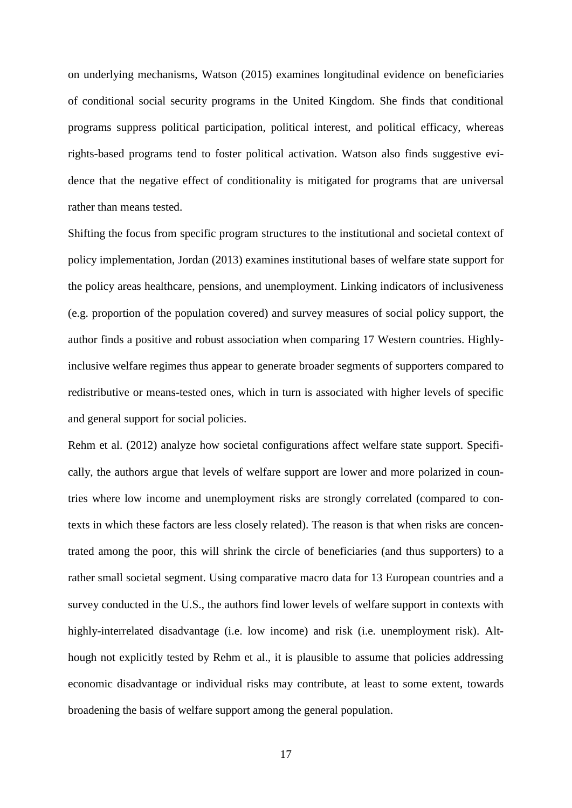on underlying mechanisms, Watson (2015) examines longitudinal evidence on beneficiaries of conditional social security programs in the United Kingdom. She finds that conditional programs suppress political participation, political interest, and political efficacy, whereas rights-based programs tend to foster political activation. Watson also finds suggestive evidence that the negative effect of conditionality is mitigated for programs that are universal rather than means tested.

Shifting the focus from specific program structures to the institutional and societal context of policy implementation, Jordan (2013) examines institutional bases of welfare state support for the policy areas healthcare, pensions, and unemployment. Linking indicators of inclusiveness (e.g. proportion of the population covered) and survey measures of social policy support, the author finds a positive and robust association when comparing 17 Western countries. Highlyinclusive welfare regimes thus appear to generate broader segments of supporters compared to redistributive or means-tested ones, which in turn is associated with higher levels of specific and general support for social policies.

Rehm et al. (2012) analyze how societal configurations affect welfare state support. Specifically, the authors argue that levels of welfare support are lower and more polarized in countries where low income and unemployment risks are strongly correlated (compared to contexts in which these factors are less closely related). The reason is that when risks are concentrated among the poor, this will shrink the circle of beneficiaries (and thus supporters) to a rather small societal segment. Using comparative macro data for 13 European countries and a survey conducted in the U.S., the authors find lower levels of welfare support in contexts with highly-interrelated disadvantage (i.e. low income) and risk (i.e. unemployment risk). Although not explicitly tested by Rehm et al., it is plausible to assume that policies addressing economic disadvantage or individual risks may contribute, at least to some extent, towards broadening the basis of welfare support among the general population.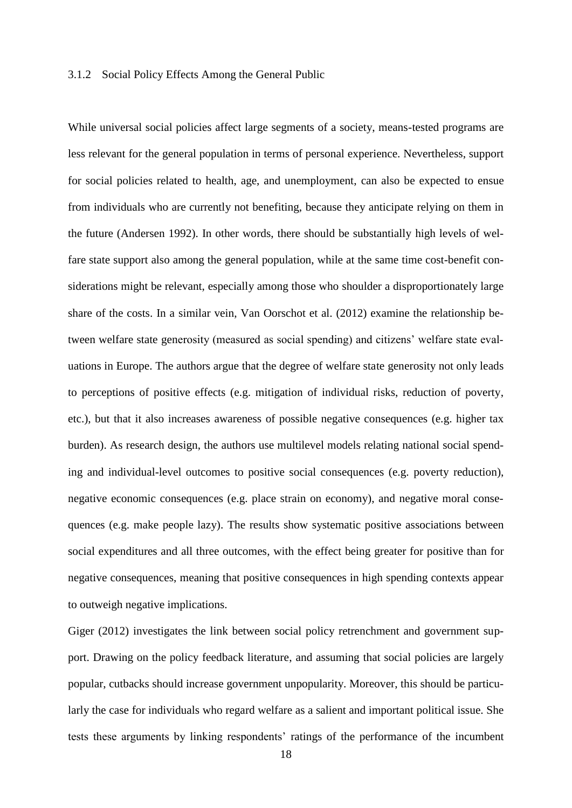#### 3.1.2 Social Policy Effects Among the General Public

While universal social policies affect large segments of a society, means-tested programs are less relevant for the general population in terms of personal experience. Nevertheless, support for social policies related to health, age, and unemployment, can also be expected to ensue from individuals who are currently not benefiting, because they anticipate relying on them in the future (Andersen 1992). In other words, there should be substantially high levels of welfare state support also among the general population, while at the same time cost-benefit considerations might be relevant, especially among those who shoulder a disproportionately large share of the costs. In a similar vein, Van Oorschot et al. (2012) examine the relationship between welfare state generosity (measured as social spending) and citizens' welfare state evaluations in Europe. The authors argue that the degree of welfare state generosity not only leads to perceptions of positive effects (e.g. mitigation of individual risks, reduction of poverty, etc.), but that it also increases awareness of possible negative consequences (e.g. higher tax burden). As research design, the authors use multilevel models relating national social spending and individual-level outcomes to positive social consequences (e.g. poverty reduction), negative economic consequences (e.g. place strain on economy), and negative moral consequences (e.g. make people lazy). The results show systematic positive associations between social expenditures and all three outcomes, with the effect being greater for positive than for negative consequences, meaning that positive consequences in high spending contexts appear to outweigh negative implications.

Giger (2012) investigates the link between social policy retrenchment and government support. Drawing on the policy feedback literature, and assuming that social policies are largely popular, cutbacks should increase government unpopularity. Moreover, this should be particularly the case for individuals who regard welfare as a salient and important political issue. She tests these arguments by linking respondents' ratings of the performance of the incumbent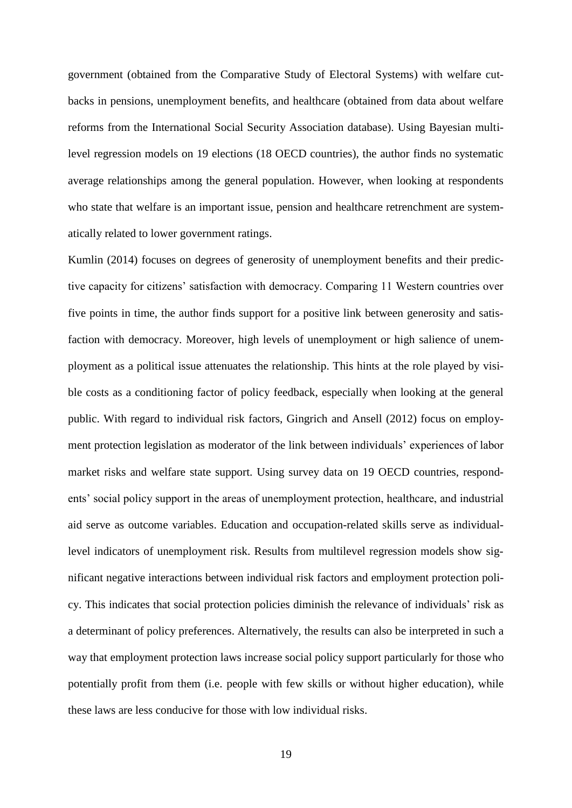government (obtained from the Comparative Study of Electoral Systems) with welfare cutbacks in pensions, unemployment benefits, and healthcare (obtained from data about welfare reforms from the International Social Security Association database). Using Bayesian multilevel regression models on 19 elections (18 OECD countries), the author finds no systematic average relationships among the general population. However, when looking at respondents who state that welfare is an important issue, pension and healthcare retrenchment are systematically related to lower government ratings.

Kumlin (2014) focuses on degrees of generosity of unemployment benefits and their predictive capacity for citizens' satisfaction with democracy. Comparing 11 Western countries over five points in time, the author finds support for a positive link between generosity and satisfaction with democracy. Moreover, high levels of unemployment or high salience of unemployment as a political issue attenuates the relationship. This hints at the role played by visible costs as a conditioning factor of policy feedback, especially when looking at the general public. With regard to individual risk factors, Gingrich and Ansell (2012) focus on employment protection legislation as moderator of the link between individuals' experiences of labor market risks and welfare state support. Using survey data on 19 OECD countries, respondents' social policy support in the areas of unemployment protection, healthcare, and industrial aid serve as outcome variables. Education and occupation-related skills serve as individuallevel indicators of unemployment risk. Results from multilevel regression models show significant negative interactions between individual risk factors and employment protection policy. This indicates that social protection policies diminish the relevance of individuals' risk as a determinant of policy preferences. Alternatively, the results can also be interpreted in such a way that employment protection laws increase social policy support particularly for those who potentially profit from them (i.e. people with few skills or without higher education), while these laws are less conducive for those with low individual risks.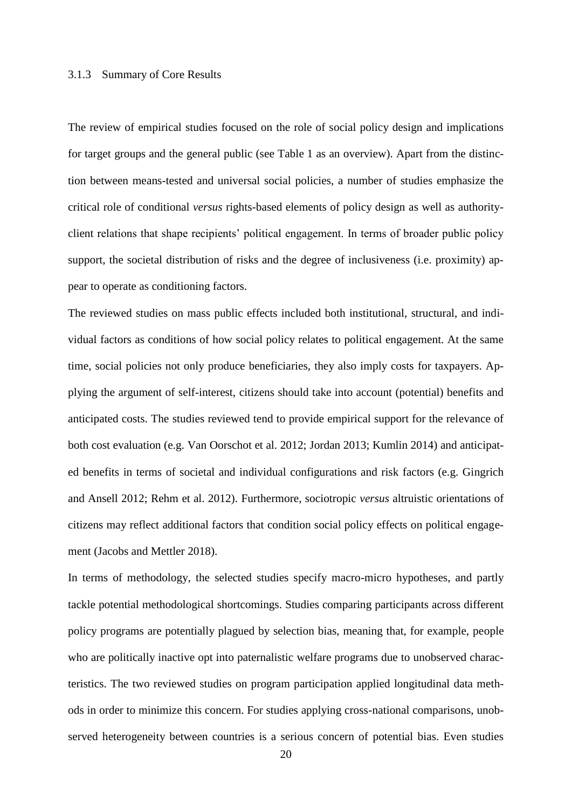#### 3.1.3 Summary of Core Results

The review of empirical studies focused on the role of social policy design and implications for target groups and the general public (see Table 1 as an overview). Apart from the distinction between means-tested and universal social policies, a number of studies emphasize the critical role of conditional *versus* rights-based elements of policy design as well as authorityclient relations that shape recipients' political engagement. In terms of broader public policy support, the societal distribution of risks and the degree of inclusiveness (i.e. proximity) appear to operate as conditioning factors.

The reviewed studies on mass public effects included both institutional, structural, and individual factors as conditions of how social policy relates to political engagement. At the same time, social policies not only produce beneficiaries, they also imply costs for taxpayers. Applying the argument of self-interest, citizens should take into account (potential) benefits and anticipated costs. The studies reviewed tend to provide empirical support for the relevance of both cost evaluation (e.g. Van Oorschot et al. 2012; Jordan 2013; Kumlin 2014) and anticipated benefits in terms of societal and individual configurations and risk factors (e.g. Gingrich and Ansell 2012; Rehm et al. 2012). Furthermore, sociotropic *versus* altruistic orientations of citizens may reflect additional factors that condition social policy effects on political engagement (Jacobs and Mettler 2018).

In terms of methodology, the selected studies specify macro-micro hypotheses, and partly tackle potential methodological shortcomings. Studies comparing participants across different policy programs are potentially plagued by selection bias, meaning that, for example, people who are politically inactive opt into paternalistic welfare programs due to unobserved characteristics. The two reviewed studies on program participation applied longitudinal data methods in order to minimize this concern. For studies applying cross-national comparisons, unobserved heterogeneity between countries is a serious concern of potential bias. Even studies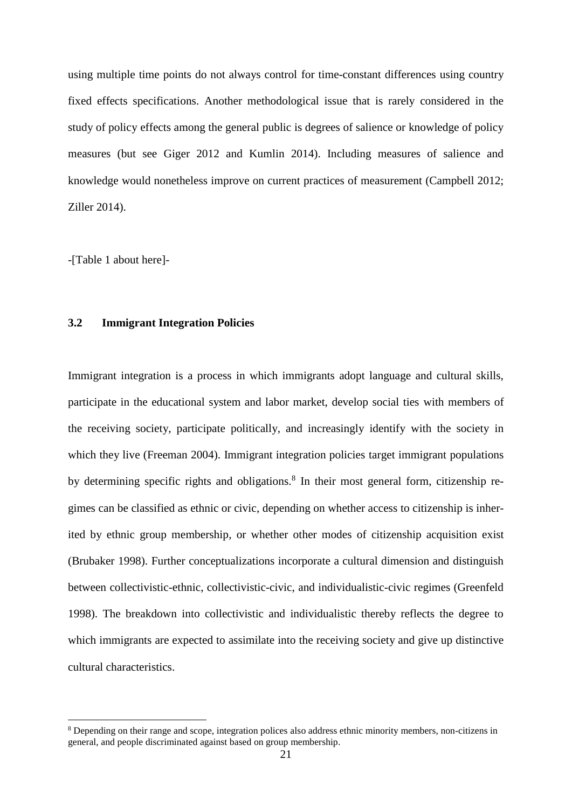using multiple time points do not always control for time-constant differences using country fixed effects specifications. Another methodological issue that is rarely considered in the study of policy effects among the general public is degrees of salience or knowledge of policy measures (but see Giger 2012 and Kumlin 2014). Including measures of salience and knowledge would nonetheless improve on current practices of measurement (Campbell 2012; Ziller 2014).

-[Table 1 about here]-

1

## **3.2 Immigrant Integration Policies**

Immigrant integration is a process in which immigrants adopt language and cultural skills, participate in the educational system and labor market, develop social ties with members of the receiving society, participate politically, and increasingly identify with the society in which they live (Freeman 2004). Immigrant integration policies target immigrant populations by determining specific rights and obligations.<sup>8</sup> In their most general form, citizenship regimes can be classified as ethnic or civic, depending on whether access to citizenship is inherited by ethnic group membership, or whether other modes of citizenship acquisition exist (Brubaker 1998). Further conceptualizations incorporate a cultural dimension and distinguish between collectivistic-ethnic, collectivistic-civic, and individualistic-civic regimes (Greenfeld 1998). The breakdown into collectivistic and individualistic thereby reflects the degree to which immigrants are expected to assimilate into the receiving society and give up distinctive cultural characteristics.

<sup>8</sup> Depending on their range and scope, integration polices also address ethnic minority members, non-citizens in general, and people discriminated against based on group membership.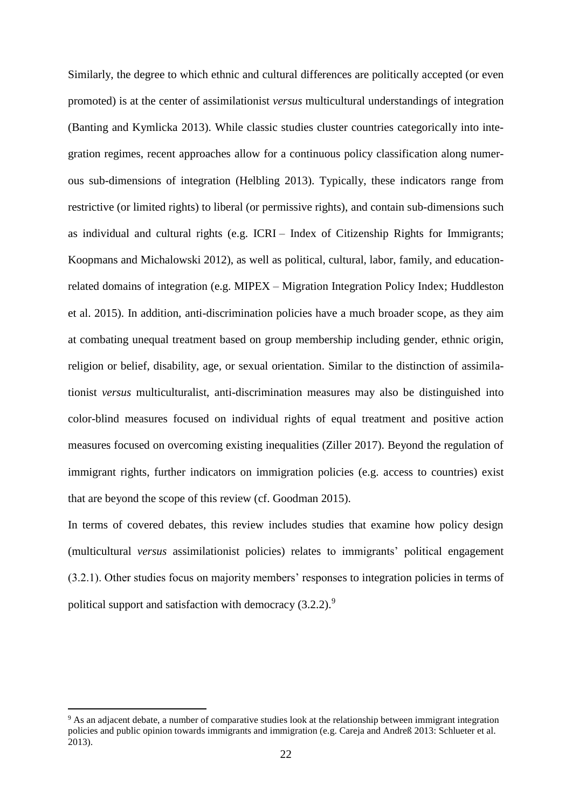Similarly, the degree to which ethnic and cultural differences are politically accepted (or even promoted) is at the center of assimilationist *versus* multicultural understandings of integration (Banting and Kymlicka 2013). While classic studies cluster countries categorically into integration regimes, recent approaches allow for a continuous policy classification along numerous sub-dimensions of integration (Helbling 2013). Typically, these indicators range from restrictive (or limited rights) to liberal (or permissive rights), and contain sub-dimensions such as individual and cultural rights (e.g. ICRI – Index of Citizenship Rights for Immigrants; Koopmans and Michalowski 2012), as well as political, cultural, labor, family, and educationrelated domains of integration (e.g. MIPEX – Migration Integration Policy Index; Huddleston et al. 2015). In addition, anti-discrimination policies have a much broader scope, as they aim at combating unequal treatment based on group membership including gender, ethnic origin, religion or belief, disability, age, or sexual orientation. Similar to the distinction of assimilationist *versus* multiculturalist, anti-discrimination measures may also be distinguished into color-blind measures focused on individual rights of equal treatment and positive action measures focused on overcoming existing inequalities (Ziller 2017). Beyond the regulation of immigrant rights, further indicators on immigration policies (e.g. access to countries) exist that are beyond the scope of this review (cf. Goodman 2015).

In terms of covered debates, this review includes studies that examine how policy design (multicultural *versus* assimilationist policies) relates to immigrants' political engagement (3.2.1). Other studies focus on majority members' responses to integration policies in terms of political support and satisfaction with democracy  $(3.2.2)$ .<sup>9</sup>

<u>.</u>

<sup>&</sup>lt;sup>9</sup> As an adjacent debate, a number of comparative studies look at the relationship between immigrant integration policies and public opinion towards immigrants and immigration (e.g. Careja and Andreß 2013: Schlueter et al. 2013).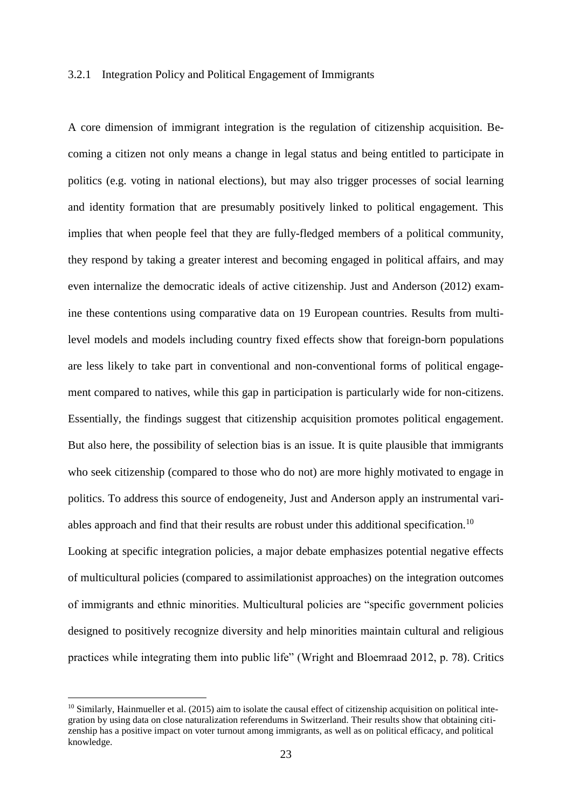#### 3.2.1 Integration Policy and Political Engagement of Immigrants

A core dimension of immigrant integration is the regulation of citizenship acquisition. Becoming a citizen not only means a change in legal status and being entitled to participate in politics (e.g. voting in national elections), but may also trigger processes of social learning and identity formation that are presumably positively linked to political engagement. This implies that when people feel that they are fully-fledged members of a political community, they respond by taking a greater interest and becoming engaged in political affairs, and may even internalize the democratic ideals of active citizenship. Just and Anderson (2012) examine these contentions using comparative data on 19 European countries. Results from multilevel models and models including country fixed effects show that foreign-born populations are less likely to take part in conventional and non-conventional forms of political engagement compared to natives, while this gap in participation is particularly wide for non-citizens. Essentially, the findings suggest that citizenship acquisition promotes political engagement. But also here, the possibility of selection bias is an issue. It is quite plausible that immigrants who seek citizenship (compared to those who do not) are more highly motivated to engage in politics. To address this source of endogeneity, Just and Anderson apply an instrumental variables approach and find that their results are robust under this additional specification.<sup>10</sup> Looking at specific integration policies, a major debate emphasizes potential negative effects

of multicultural policies (compared to assimilationist approaches) on the integration outcomes of immigrants and ethnic minorities. Multicultural policies are "specific government policies designed to positively recognize diversity and help minorities maintain cultural and religious practices while integrating them into public life" (Wright and Bloemraad 2012, p. 78). Critics

1

 $10$  Similarly, Hainmueller et al. (2015) aim to isolate the causal effect of citizenship acquisition on political integration by using data on close naturalization referendums in Switzerland. Their results show that obtaining citizenship has a positive impact on voter turnout among immigrants, as well as on political efficacy, and political knowledge.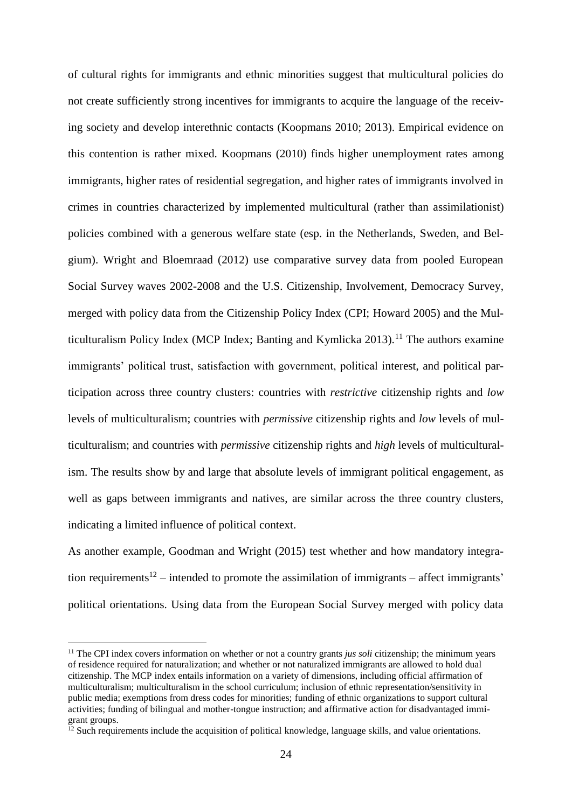of cultural rights for immigrants and ethnic minorities suggest that multicultural policies do not create sufficiently strong incentives for immigrants to acquire the language of the receiving society and develop interethnic contacts (Koopmans 2010; 2013). Empirical evidence on this contention is rather mixed. Koopmans (2010) finds higher unemployment rates among immigrants, higher rates of residential segregation, and higher rates of immigrants involved in crimes in countries characterized by implemented multicultural (rather than assimilationist) policies combined with a generous welfare state (esp. in the Netherlands, Sweden, and Belgium). Wright and Bloemraad (2012) use comparative survey data from pooled European Social Survey waves 2002-2008 and the U.S. Citizenship, Involvement, Democracy Survey, merged with policy data from the Citizenship Policy Index (CPI; Howard 2005) and the Multiculturalism Policy Index (MCP Index; Banting and Kymlicka  $2013$ ).<sup>11</sup> The authors examine immigrants' political trust, satisfaction with government, political interest, and political participation across three country clusters: countries with *restrictive* citizenship rights and *low* levels of multiculturalism; countries with *permissive* citizenship rights and *low* levels of multiculturalism; and countries with *permissive* citizenship rights and *high* levels of multiculturalism. The results show by and large that absolute levels of immigrant political engagement, as well as gaps between immigrants and natives, are similar across the three country clusters, indicating a limited influence of political context.

As another example, Goodman and Wright (2015) test whether and how mandatory integration requirements<sup>12</sup> – intended to promote the assimilation of immigrants – affect immigrants' political orientations. Using data from the European Social Survey merged with policy data

<u>.</u>

<sup>&</sup>lt;sup>11</sup> The CPI index covers information on whether or not a country grants *jus soli* citizenship; the minimum years of residence required for naturalization; and whether or not naturalized immigrants are allowed to hold dual citizenship. The MCP index entails information on a variety of dimensions, including official affirmation of multiculturalism; multiculturalism in the school curriculum; inclusion of ethnic representation/sensitivity in public media; exemptions from dress codes for minorities; funding of ethnic organizations to support cultural activities; funding of bilingual and mother-tongue instruction; and affirmative action for disadvantaged immigrant groups.

 $12$  Such requirements include the acquisition of political knowledge, language skills, and value orientations.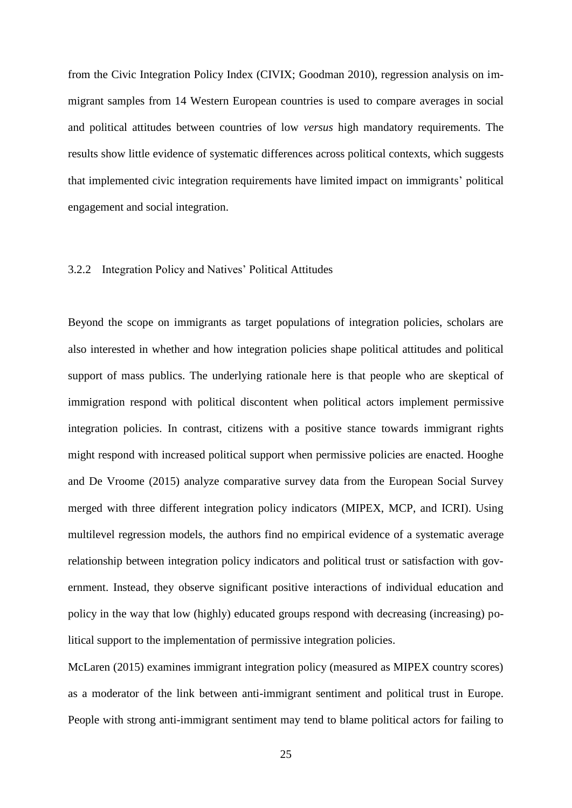from the Civic Integration Policy Index (CIVIX; Goodman 2010), regression analysis on immigrant samples from 14 Western European countries is used to compare averages in social and political attitudes between countries of low *versus* high mandatory requirements. The results show little evidence of systematic differences across political contexts, which suggests that implemented civic integration requirements have limited impact on immigrants' political engagement and social integration.

#### 3.2.2 Integration Policy and Natives' Political Attitudes

Beyond the scope on immigrants as target populations of integration policies, scholars are also interested in whether and how integration policies shape political attitudes and political support of mass publics. The underlying rationale here is that people who are skeptical of immigration respond with political discontent when political actors implement permissive integration policies. In contrast, citizens with a positive stance towards immigrant rights might respond with increased political support when permissive policies are enacted. Hooghe and De Vroome (2015) analyze comparative survey data from the European Social Survey merged with three different integration policy indicators (MIPEX, MCP, and ICRI). Using multilevel regression models, the authors find no empirical evidence of a systematic average relationship between integration policy indicators and political trust or satisfaction with government. Instead, they observe significant positive interactions of individual education and policy in the way that low (highly) educated groups respond with decreasing (increasing) political support to the implementation of permissive integration policies.

McLaren (2015) examines immigrant integration policy (measured as MIPEX country scores) as a moderator of the link between anti-immigrant sentiment and political trust in Europe. People with strong anti-immigrant sentiment may tend to blame political actors for failing to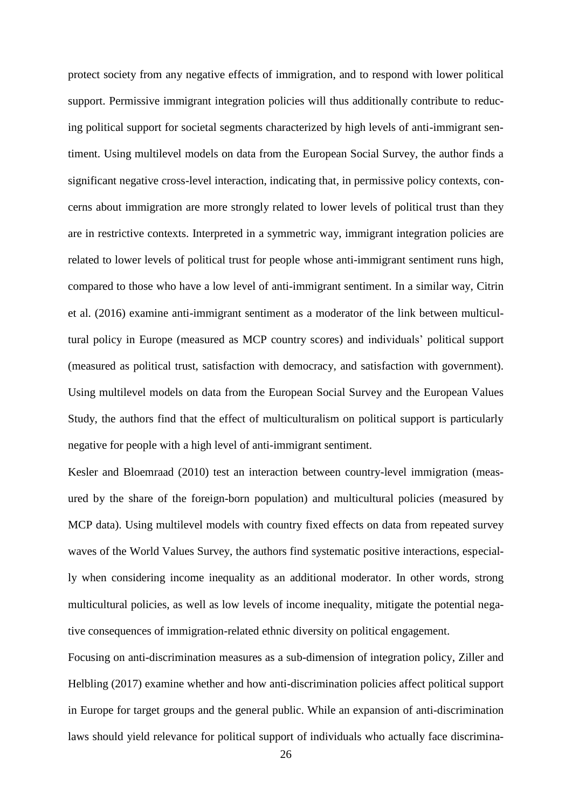protect society from any negative effects of immigration, and to respond with lower political support. Permissive immigrant integration policies will thus additionally contribute to reducing political support for societal segments characterized by high levels of anti-immigrant sentiment. Using multilevel models on data from the European Social Survey, the author finds a significant negative cross-level interaction, indicating that, in permissive policy contexts, concerns about immigration are more strongly related to lower levels of political trust than they are in restrictive contexts. Interpreted in a symmetric way, immigrant integration policies are related to lower levels of political trust for people whose anti-immigrant sentiment runs high, compared to those who have a low level of anti-immigrant sentiment. In a similar way, Citrin et al. (2016) examine anti-immigrant sentiment as a moderator of the link between multicultural policy in Europe (measured as MCP country scores) and individuals' political support (measured as political trust, satisfaction with democracy, and satisfaction with government). Using multilevel models on data from the European Social Survey and the European Values Study, the authors find that the effect of multiculturalism on political support is particularly negative for people with a high level of anti-immigrant sentiment.

Kesler and Bloemraad (2010) test an interaction between country-level immigration (measured by the share of the foreign-born population) and multicultural policies (measured by MCP data). Using multilevel models with country fixed effects on data from repeated survey waves of the World Values Survey, the authors find systematic positive interactions, especially when considering income inequality as an additional moderator. In other words, strong multicultural policies, as well as low levels of income inequality, mitigate the potential negative consequences of immigration-related ethnic diversity on political engagement.

Focusing on anti-discrimination measures as a sub-dimension of integration policy, Ziller and Helbling (2017) examine whether and how anti-discrimination policies affect political support in Europe for target groups and the general public. While an expansion of anti-discrimination laws should yield relevance for political support of individuals who actually face discrimina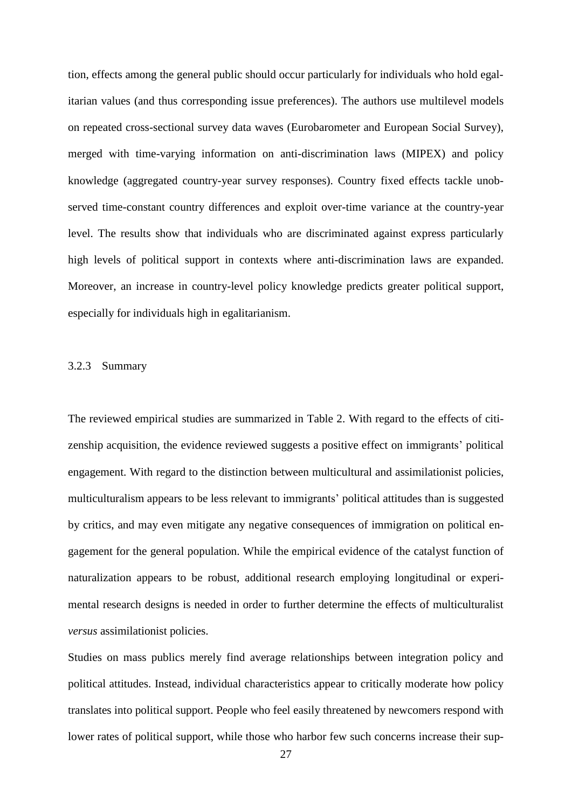tion, effects among the general public should occur particularly for individuals who hold egalitarian values (and thus corresponding issue preferences). The authors use multilevel models on repeated cross-sectional survey data waves (Eurobarometer and European Social Survey), merged with time-varying information on anti-discrimination laws (MIPEX) and policy knowledge (aggregated country-year survey responses). Country fixed effects tackle unobserved time-constant country differences and exploit over-time variance at the country-year level. The results show that individuals who are discriminated against express particularly high levels of political support in contexts where anti-discrimination laws are expanded. Moreover, an increase in country-level policy knowledge predicts greater political support, especially for individuals high in egalitarianism.

#### 3.2.3 Summary

The reviewed empirical studies are summarized in Table 2. With regard to the effects of citizenship acquisition, the evidence reviewed suggests a positive effect on immigrants' political engagement. With regard to the distinction between multicultural and assimilationist policies, multiculturalism appears to be less relevant to immigrants' political attitudes than is suggested by critics, and may even mitigate any negative consequences of immigration on political engagement for the general population. While the empirical evidence of the catalyst function of naturalization appears to be robust, additional research employing longitudinal or experimental research designs is needed in order to further determine the effects of multiculturalist *versus* assimilationist policies.

Studies on mass publics merely find average relationships between integration policy and political attitudes. Instead, individual characteristics appear to critically moderate how policy translates into political support. People who feel easily threatened by newcomers respond with lower rates of political support, while those who harbor few such concerns increase their sup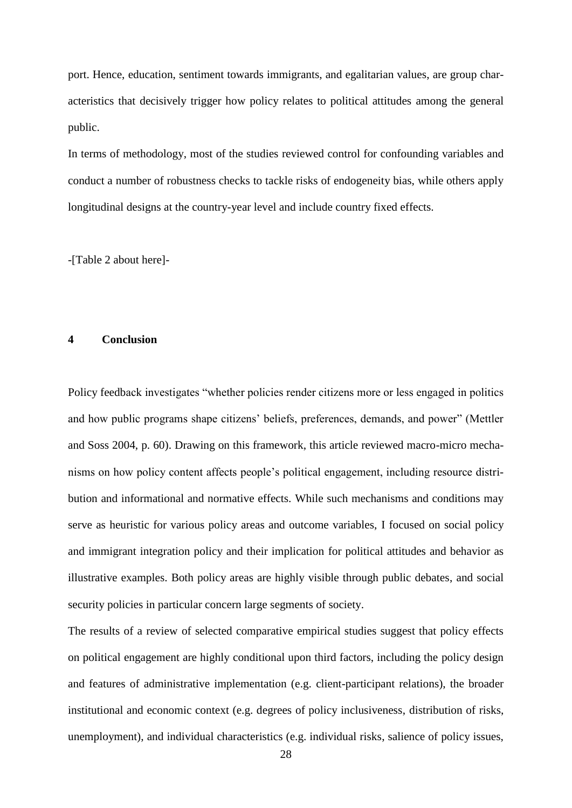port. Hence, education, sentiment towards immigrants, and egalitarian values, are group characteristics that decisively trigger how policy relates to political attitudes among the general public.

In terms of methodology, most of the studies reviewed control for confounding variables and conduct a number of robustness checks to tackle risks of endogeneity bias, while others apply longitudinal designs at the country-year level and include country fixed effects.

-[Table 2 about here]-

#### **4 Conclusion**

Policy feedback investigates "whether policies render citizens more or less engaged in politics and how public programs shape citizens' beliefs, preferences, demands, and power" (Mettler and Soss 2004, p. 60). Drawing on this framework, this article reviewed macro-micro mechanisms on how policy content affects people's political engagement, including resource distribution and informational and normative effects. While such mechanisms and conditions may serve as heuristic for various policy areas and outcome variables, I focused on social policy and immigrant integration policy and their implication for political attitudes and behavior as illustrative examples. Both policy areas are highly visible through public debates, and social security policies in particular concern large segments of society.

The results of a review of selected comparative empirical studies suggest that policy effects on political engagement are highly conditional upon third factors, including the policy design and features of administrative implementation (e.g. client-participant relations), the broader institutional and economic context (e.g. degrees of policy inclusiveness, distribution of risks, unemployment), and individual characteristics (e.g. individual risks, salience of policy issues,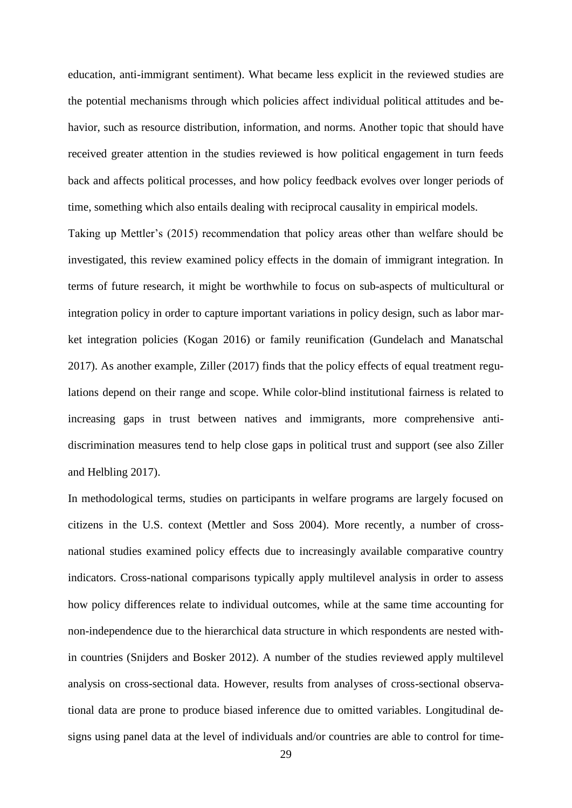education, anti-immigrant sentiment). What became less explicit in the reviewed studies are the potential mechanisms through which policies affect individual political attitudes and behavior, such as resource distribution, information, and norms. Another topic that should have received greater attention in the studies reviewed is how political engagement in turn feeds back and affects political processes, and how policy feedback evolves over longer periods of time, something which also entails dealing with reciprocal causality in empirical models.

Taking up Mettler's (2015) recommendation that policy areas other than welfare should be investigated, this review examined policy effects in the domain of immigrant integration. In terms of future research, it might be worthwhile to focus on sub-aspects of multicultural or integration policy in order to capture important variations in policy design, such as labor market integration policies (Kogan 2016) or family reunification (Gundelach and Manatschal 2017). As another example, Ziller (2017) finds that the policy effects of equal treatment regulations depend on their range and scope. While color-blind institutional fairness is related to increasing gaps in trust between natives and immigrants, more comprehensive antidiscrimination measures tend to help close gaps in political trust and support (see also Ziller and Helbling 2017).

In methodological terms, studies on participants in welfare programs are largely focused on citizens in the U.S. context (Mettler and Soss 2004). More recently, a number of crossnational studies examined policy effects due to increasingly available comparative country indicators. Cross-national comparisons typically apply multilevel analysis in order to assess how policy differences relate to individual outcomes, while at the same time accounting for non-independence due to the hierarchical data structure in which respondents are nested within countries (Snijders and Bosker 2012). A number of the studies reviewed apply multilevel analysis on cross-sectional data. However, results from analyses of cross-sectional observational data are prone to produce biased inference due to omitted variables. Longitudinal designs using panel data at the level of individuals and/or countries are able to control for time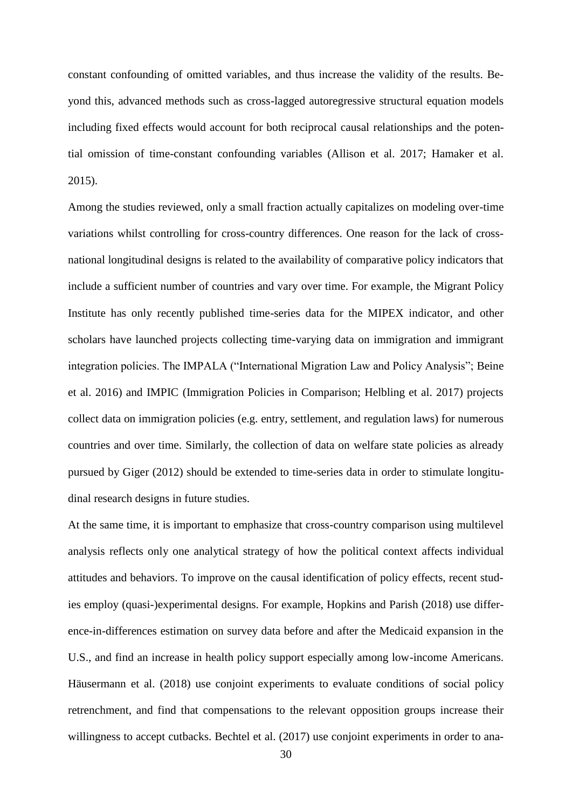constant confounding of omitted variables, and thus increase the validity of the results. Beyond this, advanced methods such as cross-lagged autoregressive structural equation models including fixed effects would account for both reciprocal causal relationships and the potential omission of time-constant confounding variables (Allison et al. 2017; Hamaker et al. 2015).

Among the studies reviewed, only a small fraction actually capitalizes on modeling over-time variations whilst controlling for cross-country differences. One reason for the lack of crossnational longitudinal designs is related to the availability of comparative policy indicators that include a sufficient number of countries and vary over time. For example, the Migrant Policy Institute has only recently published time-series data for the MIPEX indicator, and other scholars have launched projects collecting time-varying data on immigration and immigrant integration policies. The IMPALA ("International Migration Law and Policy Analysis"; Beine et al. 2016) and IMPIC (Immigration Policies in Comparison; Helbling et al. 2017) projects collect data on immigration policies (e.g. entry, settlement, and regulation laws) for numerous countries and over time. Similarly, the collection of data on welfare state policies as already pursued by Giger (2012) should be extended to time-series data in order to stimulate longitudinal research designs in future studies.

At the same time, it is important to emphasize that cross-country comparison using multilevel analysis reflects only one analytical strategy of how the political context affects individual attitudes and behaviors. To improve on the causal identification of policy effects, recent studies employ (quasi-)experimental designs. For example, Hopkins and Parish (2018) use difference-in-differences estimation on survey data before and after the Medicaid expansion in the U.S., and find an increase in health policy support especially among low-income Americans. Häusermann et al. (2018) use conjoint experiments to evaluate conditions of social policy retrenchment, and find that compensations to the relevant opposition groups increase their willingness to accept cutbacks. Bechtel et al. (2017) use conjoint experiments in order to ana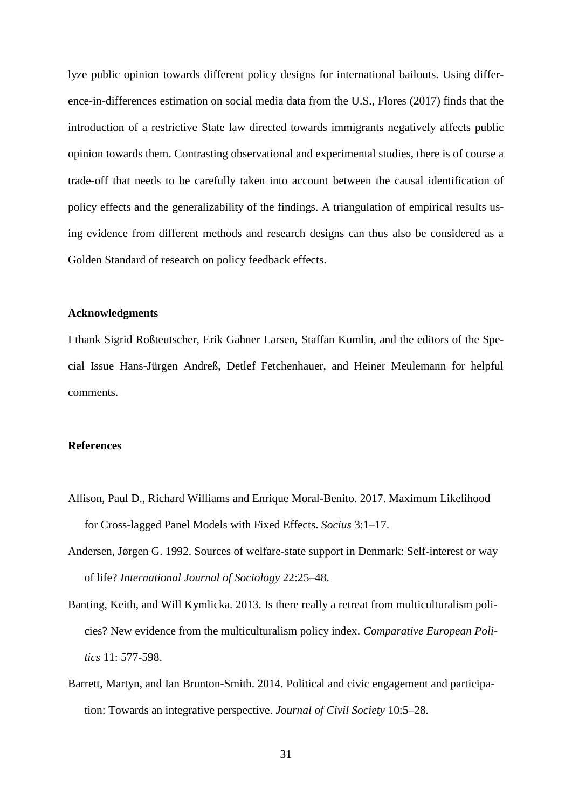lyze public opinion towards different policy designs for international bailouts. Using difference-in-differences estimation on social media data from the U.S., Flores (2017) finds that the introduction of a restrictive State law directed towards immigrants negatively affects public opinion towards them. Contrasting observational and experimental studies, there is of course a trade-off that needs to be carefully taken into account between the causal identification of policy effects and the generalizability of the findings. A triangulation of empirical results using evidence from different methods and research designs can thus also be considered as a Golden Standard of research on policy feedback effects.

## **Acknowledgments**

I thank Sigrid Roßteutscher, Erik Gahner Larsen, Staffan Kumlin, and the editors of the Special Issue Hans-Jürgen Andreß, Detlef Fetchenhauer, and Heiner Meulemann for helpful comments.

## **References**

- Allison, Paul D., Richard Williams and Enrique Moral-Benito. 2017. Maximum Likelihood for Cross-lagged Panel Models with Fixed Effects. *Socius* 3:1–17.
- Andersen, Jørgen G. 1992. Sources of welfare-state support in Denmark: Self-interest or way of life? *International Journal of Sociology* 22:25–48.
- Banting, Keith, and Will Kymlicka. 2013. Is there really a retreat from multiculturalism policies? New evidence from the multiculturalism policy index. *Comparative European Politics* 11: 577-598.
- Barrett, Martyn, and Ian Brunton-Smith. 2014. Political and civic engagement and participation: Towards an integrative perspective. *Journal of Civil Society* 10:5–28.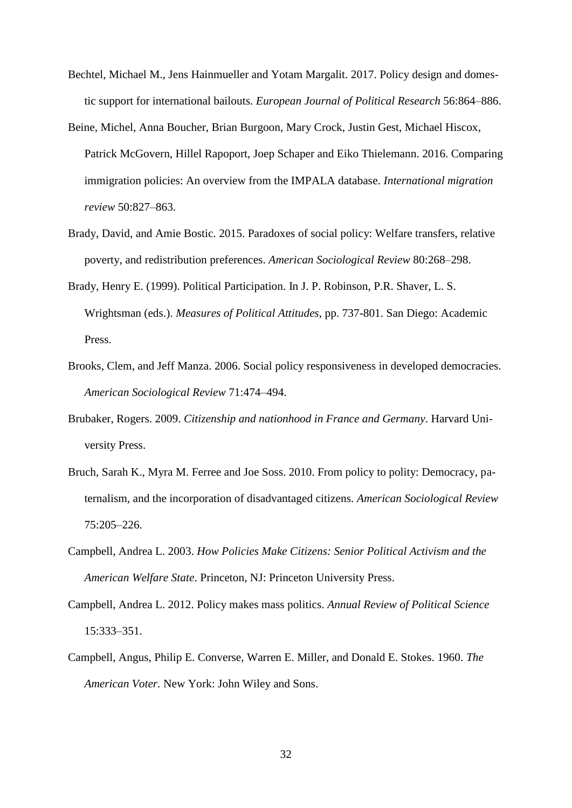- Bechtel, Michael M., Jens Hainmueller and Yotam Margalit. 2017. Policy design and domestic support for international bailouts. *European Journal of Political Research* 56:864–886.
- Beine, Michel, Anna Boucher, Brian Burgoon, Mary Crock, Justin Gest, Michael Hiscox, Patrick McGovern, Hillel Rapoport, Joep Schaper and Eiko Thielemann. 2016. Comparing immigration policies: An overview from the IMPALA database. *International migration review* 50:827–863.
- Brady, David, and Amie Bostic. 2015. Paradoxes of social policy: Welfare transfers, relative poverty, and redistribution preferences. *American Sociological Review* 80:268–298.
- Brady, Henry E. (1999). Political Participation. In J. P. Robinson, P.R. Shaver, L. S. Wrightsman (eds.). *Measures of Political Attitudes*, pp. 737-801. San Diego: Academic Press.
- Brooks, Clem, and Jeff Manza. 2006. Social policy responsiveness in developed democracies. *American Sociological Review* 71:474–494.
- Brubaker, Rogers. 2009. *Citizenship and nationhood in France and Germany*. Harvard University Press.
- Bruch, Sarah K., Myra M. Ferree and Joe Soss. 2010. From policy to polity: Democracy, paternalism, and the incorporation of disadvantaged citizens. *American Sociological Review*  75:205–226.
- Campbell, Andrea L. 2003. *How Policies Make Citizens: Senior Political Activism and the American Welfare State*. Princeton, NJ: Princeton University Press.
- Campbell, Andrea L. 2012. Policy makes mass politics. *Annual Review of Political Science*  15:333–351.
- Campbell, Angus, Philip E. Converse, Warren E. Miller, and Donald E. Stokes. 1960. *The American Voter.* New York: John Wiley and Sons.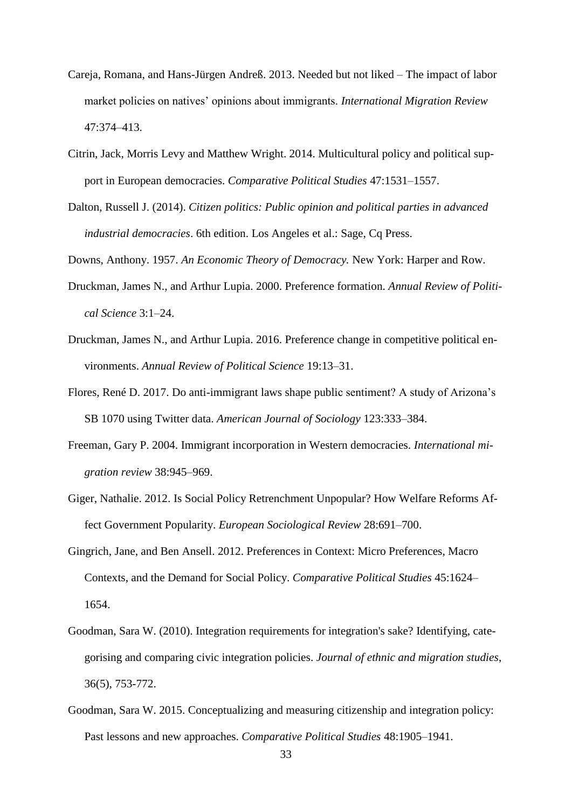- Careja, Romana, and Hans-Jürgen Andreß. 2013. Needed but not liked The impact of labor market policies on natives' opinions about immigrants. *International Migration Review*  47:374–413.
- Citrin, Jack, Morris Levy and Matthew Wright. 2014. Multicultural policy and political support in European democracies. *Comparative Political Studies* 47:1531–1557.
- Dalton, Russell J. (2014). *Citizen politics: Public opinion and political parties in advanced industrial democracies*. 6th edition. Los Angeles et al.: Sage, Cq Press.
- Downs, Anthony. 1957. *An Economic Theory of Democracy.* New York: Harper and Row.
- Druckman, James N., and Arthur Lupia. 2000. Preference formation. *Annual Review of Political Science* 3:1–24.
- Druckman, James N., and Arthur Lupia. 2016. Preference change in competitive political environments. *Annual Review of Political Science* 19:13–31.
- Flores, René D. 2017. Do anti-immigrant laws shape public sentiment? A study of Arizona's SB 1070 using Twitter data. *American Journal of Sociology* 123:333–384.
- Freeman, Gary P. 2004. Immigrant incorporation in Western democracies. *International migration review* 38:945–969.
- Giger, Nathalie. 2012. Is Social Policy Retrenchment Unpopular? How Welfare Reforms Affect Government Popularity. *European Sociological Review* 28:691–700.
- Gingrich, Jane, and Ben Ansell. 2012. Preferences in Context: Micro Preferences, Macro Contexts, and the Demand for Social Policy. *Comparative Political Studies* 45:1624– 1654.
- Goodman, Sara W. (2010). Integration requirements for integration's sake? Identifying, categorising and comparing civic integration policies. *Journal of ethnic and migration studies*, 36(5), 753-772.
- Goodman, Sara W. 2015. Conceptualizing and measuring citizenship and integration policy: Past lessons and new approaches. *Comparative Political Studies* 48:1905–1941.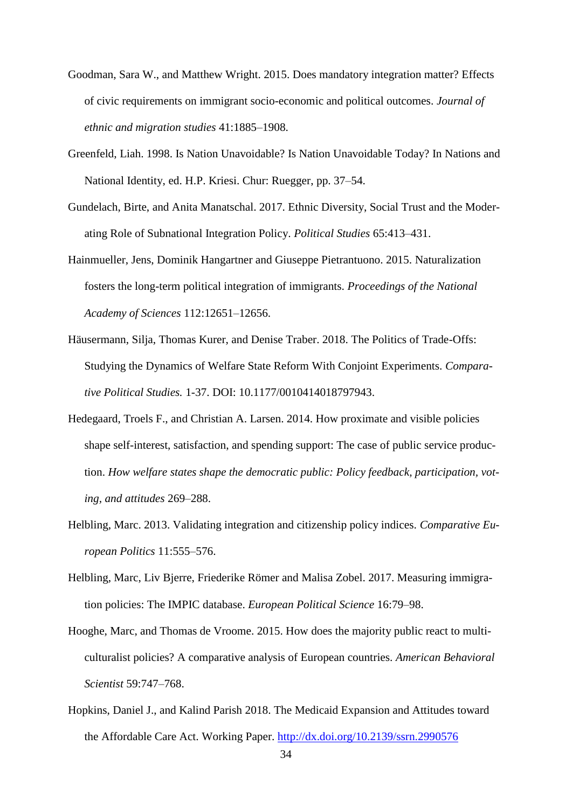- Goodman, Sara W., and Matthew Wright. 2015. Does mandatory integration matter? Effects of civic requirements on immigrant socio-economic and political outcomes. *Journal of ethnic and migration studies* 41:1885–1908.
- Greenfeld, Liah. 1998. Is Nation Unavoidable? Is Nation Unavoidable Today? In Nations and National Identity, ed. H.P. Kriesi. Chur: Ruegger, pp. 37–54.
- Gundelach, Birte, and Anita Manatschal. 2017. Ethnic Diversity, Social Trust and the Moderating Role of Subnational Integration Policy. *Political Studies* 65:413–431.
- Hainmueller, Jens, Dominik Hangartner and Giuseppe Pietrantuono. 2015. Naturalization fosters the long-term political integration of immigrants. *Proceedings of the National Academy of Sciences* 112:12651–12656.
- Häusermann, Silja, Thomas Kurer, and Denise Traber. 2018. The Politics of Trade-Offs: Studying the Dynamics of Welfare State Reform With Conjoint Experiments. *Comparative Political Studies.* 1-37. DOI: 10.1177/0010414018797943.
- Hedegaard, Troels F., and Christian A. Larsen. 2014. How proximate and visible policies shape self-interest, satisfaction, and spending support: The case of public service production. *How welfare states shape the democratic public: Policy feedback, participation, voting, and attitudes* 269–288.
- Helbling, Marc. 2013. Validating integration and citizenship policy indices. *Comparative European Politics* 11:555–576.
- Helbling, Marc, Liv Bjerre, Friederike Römer and Malisa Zobel. 2017. Measuring immigration policies: The IMPIC database. *European Political Science* 16:79–98.
- Hooghe, Marc, and Thomas de Vroome. 2015. How does the majority public react to multiculturalist policies? A comparative analysis of European countries. *American Behavioral Scientist* 59:747–768.
- Hopkins, Daniel J., and Kalind Parish 2018. The Medicaid Expansion and Attitudes toward the Affordable Care Act. Working Paper. <http://dx.doi.org/10.2139/ssrn.2990576>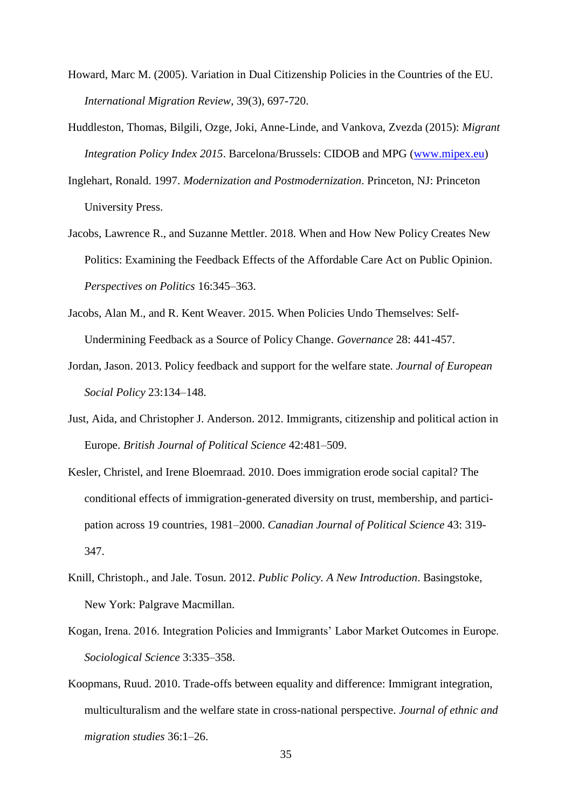- Howard, Marc M. (2005). Variation in Dual Citizenship Policies in the Countries of the EU. *International Migration Review*, 39(3), 697-720.
- Huddleston, Thomas, Bilgili, Ozge, Joki, Anne-Linde, and Vankova, Zvezda (2015): *Migrant Integration Policy Index 2015*. Barcelona/Brussels: CIDOB and MPG [\(www.mipex.eu\)](http://www.mipex.eu/)
- Inglehart, Ronald. 1997. *Modernization and Postmodernization*. Princeton, NJ: Princeton University Press.
- Jacobs, Lawrence R., and Suzanne Mettler. 2018. When and How New Policy Creates New Politics: Examining the Feedback Effects of the Affordable Care Act on Public Opinion. *Perspectives on Politics* 16:345–363.
- Jacobs, Alan M., and R. Kent Weaver. 2015. When Policies Undo Themselves: Self-Undermining Feedback as a Source of Policy Change. *Governance* 28: 441-457.
- Jordan, Jason. 2013. Policy feedback and support for the welfare state. *Journal of European Social Policy* 23:134–148.
- Just, Aida, and Christopher J. Anderson. 2012. Immigrants, citizenship and political action in Europe. *British Journal of Political Science* 42:481–509.
- Kesler, Christel, and Irene Bloemraad. 2010. Does immigration erode social capital? The conditional effects of immigration-generated diversity on trust, membership, and participation across 19 countries, 1981–2000. *Canadian Journal of Political Science* 43: 319- 347.
- Knill, Christoph., and Jale. Tosun. 2012. *Public Policy. A New Introduction*. Basingstoke, New York: Palgrave Macmillan.
- Kogan, Irena. 2016. Integration Policies and Immigrants' Labor Market Outcomes in Europe. *Sociological Science* 3:335–358.
- Koopmans, Ruud. 2010. Trade-offs between equality and difference: Immigrant integration, multiculturalism and the welfare state in cross-national perspective. *Journal of ethnic and migration studies* 36:1–26.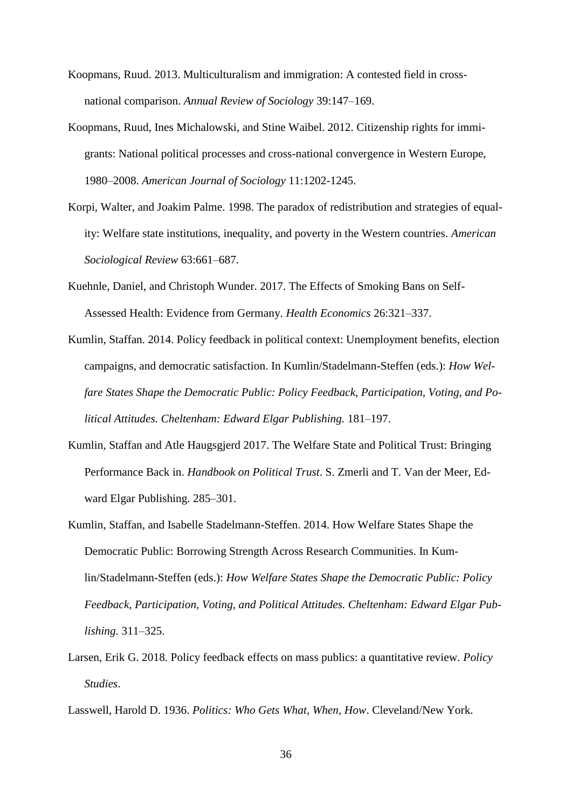- Koopmans, Ruud. 2013. Multiculturalism and immigration: A contested field in crossnational comparison. *Annual Review of Sociology* 39:147–169.
- Koopmans, Ruud, Ines Michalowski, and Stine Waibel. 2012. Citizenship rights for immigrants: National political processes and cross-national convergence in Western Europe, 1980–2008. *American Journal of Sociology* 11:1202-1245.
- Korpi, Walter, and Joakim Palme. 1998. The paradox of redistribution and strategies of equality: Welfare state institutions, inequality, and poverty in the Western countries. *American Sociological Review* 63:661–687.
- Kuehnle, Daniel, and Christoph Wunder. 2017. The Effects of Smoking Bans on Self-Assessed Health: Evidence from Germany. *Health Economics* 26:321–337.
- Kumlin, Staffan. 2014. Policy feedback in political context: Unemployment benefits, election campaigns, and democratic satisfaction. In Kumlin/Stadelmann-Steffen (eds.): *How Welfare States Shape the Democratic Public: Policy Feedback, Participation, Voting, and Political Attitudes. Cheltenham: Edward Elgar Publishing.* 181–197.
- Kumlin, Staffan and Atle Haugsgjerd 2017. The Welfare State and Political Trust: Bringing Performance Back in. *Handbook on Political Trust*. S. Zmerli and T. Van der Meer, Edward Elgar Publishing. 285–301.
- Kumlin, Staffan, and Isabelle Stadelmann-Steffen. 2014. How Welfare States Shape the Democratic Public: Borrowing Strength Across Research Communities. In Kumlin/Stadelmann-Steffen (eds.): *How Welfare States Shape the Democratic Public: Policy Feedback, Participation, Voting, and Political Attitudes. Cheltenham: Edward Elgar Publishing.* 311–325.
- Larsen, Erik G. 2018. Policy feedback effects on mass publics: a quantitative review. *Policy Studies*.
- Lasswell, Harold D. 1936. *Politics: Who Gets What, When, How*. Cleveland/New York.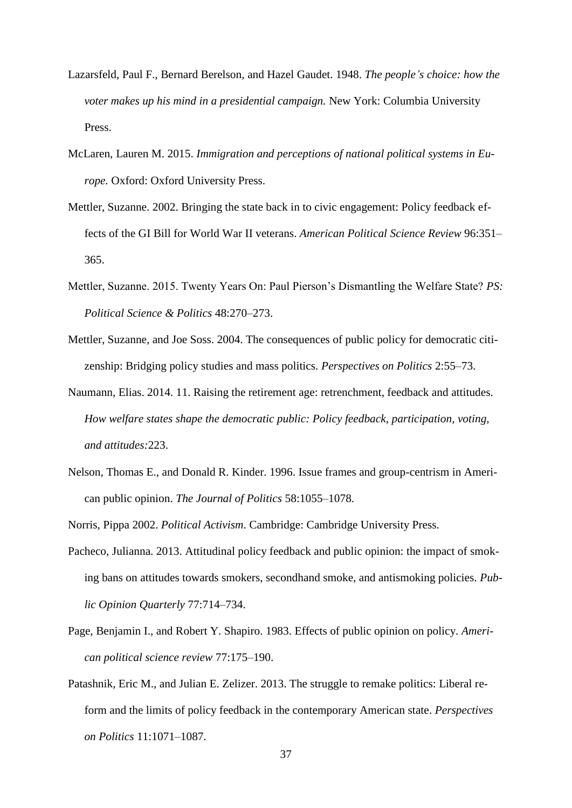- Lazarsfeld, Paul F., Bernard Berelson, and Hazel Gaudet. 1948. *The people's choice: how the voter makes up his mind in a presidential campaign.* New York: Columbia University Press.
- McLaren, Lauren M. 2015. *Immigration and perceptions of national political systems in Europe.* Oxford: Oxford University Press.
- Mettler, Suzanne. 2002. Bringing the state back in to civic engagement: Policy feedback effects of the GI Bill for World War II veterans. *American Political Science Review* 96:351– 365.
- Mettler, Suzanne. 2015. Twenty Years On: Paul Pierson's Dismantling the Welfare State? *PS: Political Science & Politics* 48:270–273.
- Mettler, Suzanne, and Joe Soss. 2004. The consequences of public policy for democratic citizenship: Bridging policy studies and mass politics. *Perspectives on Politics* 2:55–73.
- Naumann, Elias. 2014. 11. Raising the retirement age: retrenchment, feedback and attitudes. *How welfare states shape the democratic public: Policy feedback, participation, voting, and attitudes:*223.
- Nelson, Thomas E., and Donald R. Kinder. 1996. Issue frames and group-centrism in American public opinion. *The Journal of Politics* 58:1055–1078.

Norris, Pippa 2002. *Political Activism*. Cambridge: Cambridge University Press.

- Pacheco, Julianna. 2013. Attitudinal policy feedback and public opinion: the impact of smoking bans on attitudes towards smokers, secondhand smoke, and antismoking policies. *Public Opinion Quarterly* 77:714–734.
- Page, Benjamin I., and Robert Y. Shapiro. 1983. Effects of public opinion on policy. *American political science review* 77:175–190.
- Patashnik, Eric M., and Julian E. Zelizer. 2013. The struggle to remake politics: Liberal reform and the limits of policy feedback in the contemporary American state. *Perspectives on Politics* 11:1071–1087.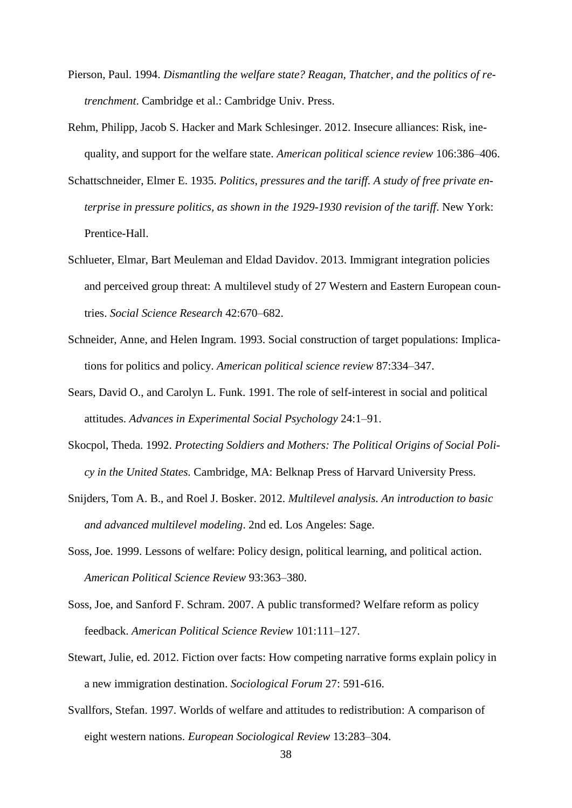- Pierson, Paul. 1994. *Dismantling the welfare state? Reagan, Thatcher, and the politics of retrenchment*. Cambridge et al.: Cambridge Univ. Press.
- Rehm, Philipp, Jacob S. Hacker and Mark Schlesinger. 2012. Insecure alliances: Risk, inequality, and support for the welfare state. *American political science review* 106:386–406.
- Schattschneider, Elmer E. 1935. *Politics, pressures and the tariff. A study of free private enterprise in pressure politics, as shown in the 1929-1930 revision of the tariff*. New York: Prentice-Hall.
- Schlueter, Elmar, Bart Meuleman and Eldad Davidov. 2013. Immigrant integration policies and perceived group threat: A multilevel study of 27 Western and Eastern European countries. *Social Science Research* 42:670–682.
- Schneider, Anne, and Helen Ingram. 1993. Social construction of target populations: Implications for politics and policy. *American political science review* 87:334–347.
- Sears, David O., and Carolyn L. Funk. 1991. The role of self-interest in social and political attitudes. *Advances in Experimental Social Psychology* 24:1–91.
- Skocpol, Theda. 1992. *Protecting Soldiers and Mothers: The Political Origins of Social Policy in the United States.* Cambridge, MA: Belknap Press of Harvard University Press.
- Snijders, Tom A. B., and Roel J. Bosker. 2012. *Multilevel analysis. An introduction to basic and advanced multilevel modeling*. 2nd ed. Los Angeles: Sage.
- Soss, Joe. 1999. Lessons of welfare: Policy design, political learning, and political action. *American Political Science Review* 93:363–380.
- Soss, Joe, and Sanford F. Schram. 2007. A public transformed? Welfare reform as policy feedback. *American Political Science Review* 101:111–127.
- Stewart, Julie, ed. 2012. Fiction over facts: How competing narrative forms explain policy in a new immigration destination. *Sociological Forum* 27: 591-616.
- Svallfors, Stefan. 1997. Worlds of welfare and attitudes to redistribution: A comparison of eight western nations. *European Sociological Review* 13:283–304.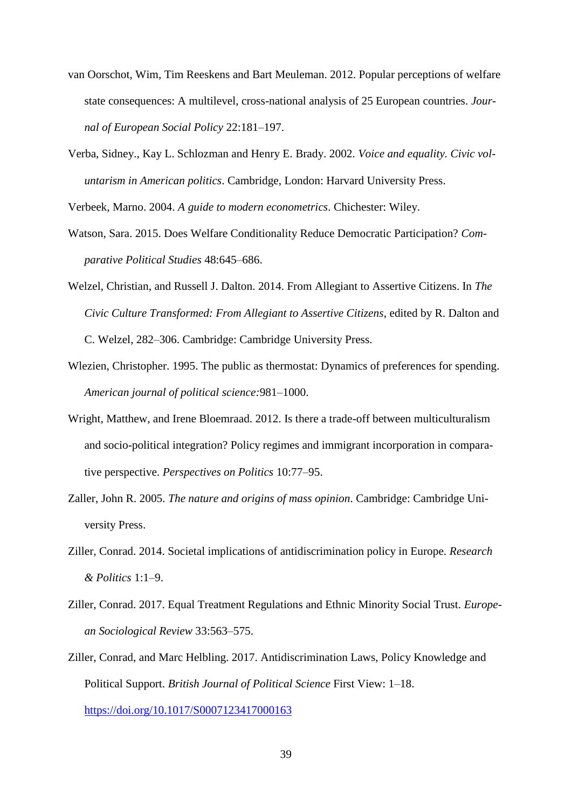- van Oorschot, Wim, Tim Reeskens and Bart Meuleman. 2012. Popular perceptions of welfare state consequences: A multilevel, cross-national analysis of 25 European countries. *Journal of European Social Policy* 22:181–197.
- Verba, Sidney., Kay L. Schlozman and Henry E. Brady. 2002. *Voice and equality. Civic voluntarism in American politics*. Cambridge, London: Harvard University Press.

Verbeek, Marno. 2004. *A guide to modern econometrics*. Chichester: Wiley.

- Watson, Sara. 2015. Does Welfare Conditionality Reduce Democratic Participation? *Comparative Political Studies* 48:645–686.
- Welzel, Christian, and Russell J. Dalton. 2014. From Allegiant to Assertive Citizens. In *The Civic Culture Transformed: From Allegiant to Assertive Citizens*, edited by R. Dalton and C. Welzel, 282–306. Cambridge: Cambridge University Press.
- Wlezien, Christopher. 1995. The public as thermostat: Dynamics of preferences for spending. *American journal of political science:*981–1000.
- Wright, Matthew, and Irene Bloemraad. 2012. Is there a trade-off between multiculturalism and socio-political integration? Policy regimes and immigrant incorporation in comparative perspective. *Perspectives on Politics* 10:77–95.
- Zaller, John R. 2005. *The nature and origins of mass opinion*. Cambridge: Cambridge University Press.
- Ziller, Conrad. 2014. Societal implications of antidiscrimination policy in Europe. *Research & Politics* 1:1–9.
- Ziller, Conrad. 2017. Equal Treatment Regulations and Ethnic Minority Social Trust. *European Sociological Review* 33:563–575.
- Ziller, Conrad, and Marc Helbling. 2017. Antidiscrimination Laws, Policy Knowledge and Political Support. *British Journal of Political Science* First View: 1–18. <https://doi.org/10.1017/S0007123417000163>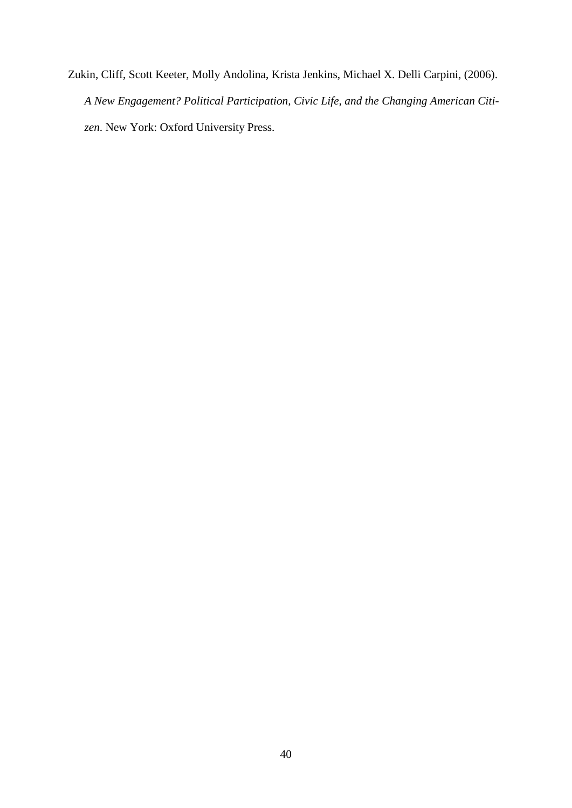Zukin, Cliff, Scott Keeter, Molly Andolina, Krista Jenkins, Michael X. Delli Carpini, (2006). *A New Engagement? Political Participation, Civic Life, and the Changing American Citizen*. New York: Oxford University Press.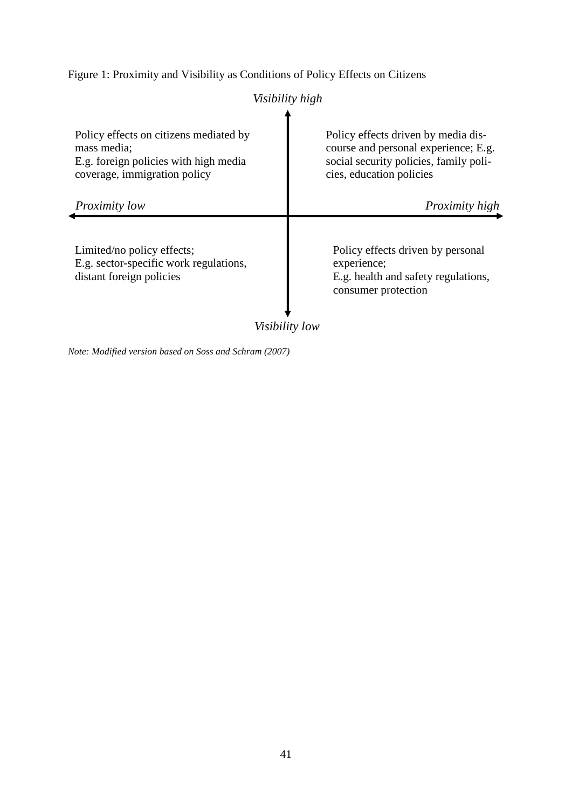Figure 1: Proximity and Visibility as Conditions of Policy Effects on Citizens

|                                                                                                                                | Visibility high                                                                                                                                   |
|--------------------------------------------------------------------------------------------------------------------------------|---------------------------------------------------------------------------------------------------------------------------------------------------|
| Policy effects on citizens mediated by<br>mass media;<br>E.g. foreign policies with high media<br>coverage, immigration policy | Policy effects driven by media dis-<br>course and personal experience; E.g.<br>social security policies, family poli-<br>cies, education policies |
| Proximity low                                                                                                                  | <i>Proximity high</i>                                                                                                                             |
| Limited/no policy effects;<br>E.g. sector-specific work regulations,<br>distant foreign policies                               | Policy effects driven by personal<br>experience;<br>E.g. health and safety regulations,<br>consumer protection                                    |
| 17. 17. 11. 1.                                                                                                                 |                                                                                                                                                   |

*Visibility low*

*Note: Modified version based on Soss and Schram (2007)*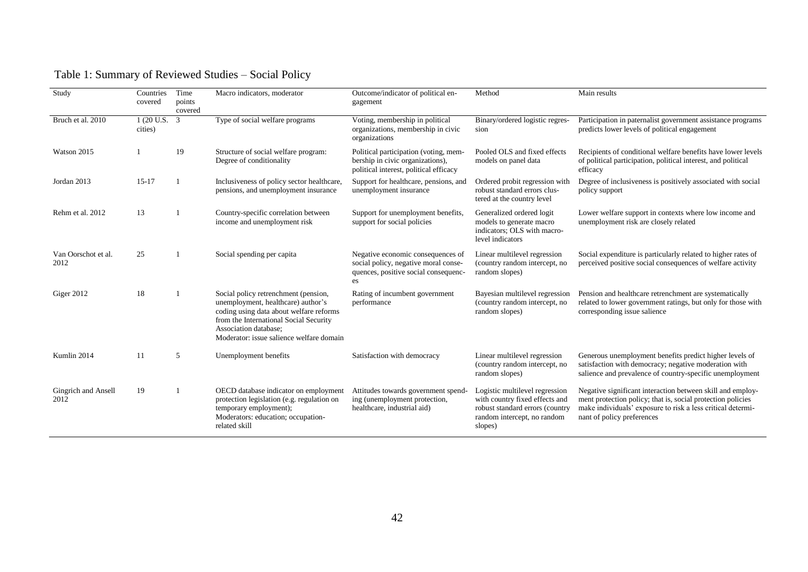| Study                       | Countries<br>covered               | Time<br>points<br>covered | Macro indicators, moderator                                                                                                                                                                                                          | Outcome/indicator of political en-<br>gagement                                                                          | Method                                                                                                                                        | Main results                                                                                                                                                                                                           |
|-----------------------------|------------------------------------|---------------------------|--------------------------------------------------------------------------------------------------------------------------------------------------------------------------------------------------------------------------------------|-------------------------------------------------------------------------------------------------------------------------|-----------------------------------------------------------------------------------------------------------------------------------------------|------------------------------------------------------------------------------------------------------------------------------------------------------------------------------------------------------------------------|
| Bruch et al. 2010           | $1(20 \text{ U.S. } 3)$<br>cities) |                           | Type of social welfare programs                                                                                                                                                                                                      | Voting, membership in political<br>organizations, membership in civic<br>organizations                                  | Binary/ordered logistic regres-<br>sion                                                                                                       | Participation in paternalist government assistance programs<br>predicts lower levels of political engagement                                                                                                           |
| Watson 2015                 |                                    | 19                        | Structure of social welfare program:<br>Degree of conditionality                                                                                                                                                                     | Political participation (voting, mem-<br>bership in civic organizations),<br>political interest, political efficacy     | Pooled OLS and fixed effects<br>models on panel data                                                                                          | Recipients of conditional welfare benefits have lower levels<br>of political participation, political interest, and political<br>efficacy                                                                              |
| Jordan 2013                 | $15-17$                            |                           | Inclusiveness of policy sector healthcare,<br>pensions, and unemployment insurance                                                                                                                                                   | Support for healthcare, pensions, and<br>unemployment insurance                                                         | Ordered probit regression with<br>robust standard errors clus-<br>tered at the country level                                                  | Degree of inclusiveness is positively associated with social<br>policy support                                                                                                                                         |
| Rehm et al. 2012            | 13                                 |                           | Country-specific correlation between<br>income and unemployment risk                                                                                                                                                                 | Support for unemployment benefits,<br>support for social policies                                                       | Generalized ordered logit<br>models to generate macro<br>indicators; OLS with macro-<br>level indicators                                      | Lower welfare support in contexts where low income and<br>unemployment risk are closely related                                                                                                                        |
| Van Oorschot et al.<br>2012 | 25                                 |                           | Social spending per capita                                                                                                                                                                                                           | Negative economic consequences of<br>social policy, negative moral conse-<br>quences, positive social consequenc-<br>es | Linear multilevel regression<br>(country random intercept, no<br>random slopes)                                                               | Social expenditure is particularly related to higher rates of<br>perceived positive social consequences of welfare activity                                                                                            |
| Giger 2012                  | 18                                 |                           | Social policy retrenchment (pension,<br>unemployment, healthcare) author's<br>coding using data about welfare reforms<br>from the International Social Security<br>Association database;<br>Moderator: issue salience welfare domain | Rating of incumbent government<br>performance                                                                           | Bayesian multilevel regression<br>(country random intercept, no<br>random slopes)                                                             | Pension and healthcare retrenchment are systematically<br>related to lower government ratings, but only for those with<br>corresponding issue salience                                                                 |
| Kumlin 2014                 | 11                                 | 5                         | Unemployment benefits                                                                                                                                                                                                                | Satisfaction with democracy                                                                                             | Linear multilevel regression<br>(country random intercept, no<br>random slopes)                                                               | Generous unemployment benefits predict higher levels of<br>satisfaction with democracy; negative moderation with<br>salience and prevalence of country-specific unemployment                                           |
| Gingrich and Ansell<br>2012 | 19                                 |                           | OECD database indicator on employment<br>protection legislation (e.g. regulation on<br>temporary employment);<br>Moderators: education; occupation-<br>related skill                                                                 | Attitudes towards government spend-<br>ing (unemployment protection,<br>healthcare, industrial aid)                     | Logistic multilevel regression<br>with country fixed effects and<br>robust standard errors (country<br>random intercept, no random<br>slopes) | Negative significant interaction between skill and employ-<br>ment protection policy; that is, social protection policies<br>make individuals' exposure to risk a less critical determi-<br>nant of policy preferences |

# Table 1: Summary of Reviewed Studies – Social Policy